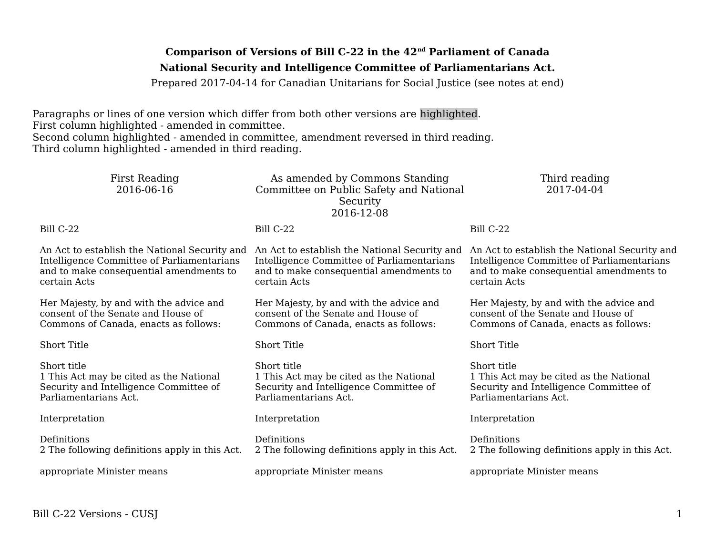# **Comparison of Versions of Bill C-22 in the 42nd Parliament of Canada National Security and Intelligence Committee of Parliamentarians Act.**

Prepared 2017-04-14 for Canadian Unitarians for Social Justice (see notes at end)

Paragraphs or lines of one version which differ from both other versions are highlighted. First column highlighted - amended in committee. Second column highlighted - amended in committee, amendment reversed in third reading. Third column highlighted - amended in third reading.

| <b>First Reading</b><br>2016-06-16                                                                                                                     | As amended by Commons Standing<br>Committee on Public Safety and National<br>Security<br>2016-12-08                                                    | Third reading<br>2017-04-04                                                                                                                            |
|--------------------------------------------------------------------------------------------------------------------------------------------------------|--------------------------------------------------------------------------------------------------------------------------------------------------------|--------------------------------------------------------------------------------------------------------------------------------------------------------|
| Bill C-22                                                                                                                                              | Bill C-22                                                                                                                                              | Bill C-22                                                                                                                                              |
| An Act to establish the National Security and<br>Intelligence Committee of Parliamentarians<br>and to make consequential amendments to<br>certain Acts | An Act to establish the National Security and<br>Intelligence Committee of Parliamentarians<br>and to make consequential amendments to<br>certain Acts | An Act to establish the National Security and<br>Intelligence Committee of Parliamentarians<br>and to make consequential amendments to<br>certain Acts |
| Her Majesty, by and with the advice and<br>consent of the Senate and House of<br>Commons of Canada, enacts as follows:                                 | Her Majesty, by and with the advice and<br>consent of the Senate and House of<br>Commons of Canada, enacts as follows:                                 | Her Majesty, by and with the advice and<br>consent of the Senate and House of<br>Commons of Canada, enacts as follows:                                 |
| <b>Short Title</b>                                                                                                                                     | <b>Short Title</b>                                                                                                                                     | <b>Short Title</b>                                                                                                                                     |
| Short title<br>1 This Act may be cited as the National<br>Security and Intelligence Committee of<br>Parliamentarians Act.                              | Short title<br>1 This Act may be cited as the National<br>Security and Intelligence Committee of<br>Parliamentarians Act.                              | Short title<br>1 This Act may be cited as the National<br>Security and Intelligence Committee of<br>Parliamentarians Act.                              |
| Interpretation                                                                                                                                         | Interpretation                                                                                                                                         | Interpretation                                                                                                                                         |
| Definitions<br>2 The following definitions apply in this Act.                                                                                          | Definitions<br>2 The following definitions apply in this Act.                                                                                          | Definitions<br>2 The following definitions apply in this Act.                                                                                          |
| appropriate Minister means                                                                                                                             | appropriate Minister means                                                                                                                             | appropriate Minister means                                                                                                                             |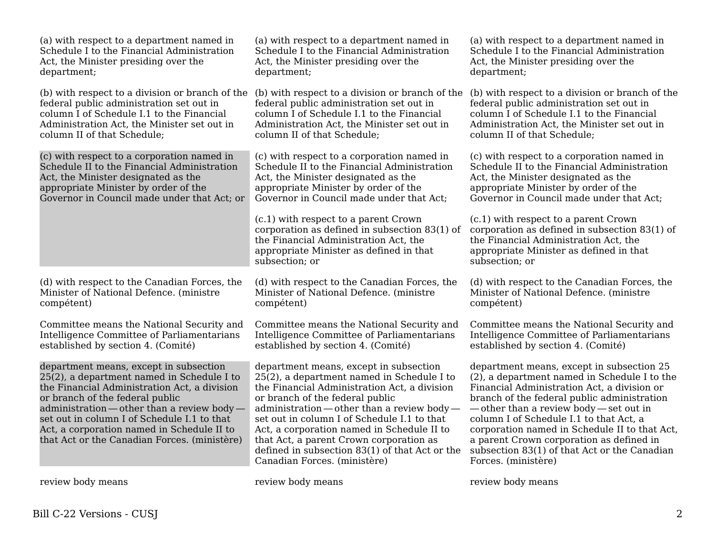| (a) with respect to a department named in                                                                                                                                                                                                                                                                                                                           | (a) with respect to a department named in                                                                                                                                                                                                                                                                                                                                                                                                        | (a) with respect to a department named in                                                                                                                                                                                                                                                                                                                                                                                                      |
|---------------------------------------------------------------------------------------------------------------------------------------------------------------------------------------------------------------------------------------------------------------------------------------------------------------------------------------------------------------------|--------------------------------------------------------------------------------------------------------------------------------------------------------------------------------------------------------------------------------------------------------------------------------------------------------------------------------------------------------------------------------------------------------------------------------------------------|------------------------------------------------------------------------------------------------------------------------------------------------------------------------------------------------------------------------------------------------------------------------------------------------------------------------------------------------------------------------------------------------------------------------------------------------|
| Schedule I to the Financial Administration                                                                                                                                                                                                                                                                                                                          | Schedule I to the Financial Administration                                                                                                                                                                                                                                                                                                                                                                                                       | Schedule I to the Financial Administration                                                                                                                                                                                                                                                                                                                                                                                                     |
| Act, the Minister presiding over the                                                                                                                                                                                                                                                                                                                                | Act, the Minister presiding over the                                                                                                                                                                                                                                                                                                                                                                                                             | Act, the Minister presiding over the                                                                                                                                                                                                                                                                                                                                                                                                           |
| department;                                                                                                                                                                                                                                                                                                                                                         | department;                                                                                                                                                                                                                                                                                                                                                                                                                                      | department;                                                                                                                                                                                                                                                                                                                                                                                                                                    |
| (b) with respect to a division or branch of the                                                                                                                                                                                                                                                                                                                     | (b) with respect to a division or branch of the                                                                                                                                                                                                                                                                                                                                                                                                  | (b) with respect to a division or branch of the                                                                                                                                                                                                                                                                                                                                                                                                |
| federal public administration set out in                                                                                                                                                                                                                                                                                                                            | federal public administration set out in                                                                                                                                                                                                                                                                                                                                                                                                         | federal public administration set out in                                                                                                                                                                                                                                                                                                                                                                                                       |
| column I of Schedule I.1 to the Financial                                                                                                                                                                                                                                                                                                                           | column I of Schedule I.1 to the Financial                                                                                                                                                                                                                                                                                                                                                                                                        | column I of Schedule I.1 to the Financial                                                                                                                                                                                                                                                                                                                                                                                                      |
| Administration Act, the Minister set out in                                                                                                                                                                                                                                                                                                                         | Administration Act, the Minister set out in                                                                                                                                                                                                                                                                                                                                                                                                      | Administration Act, the Minister set out in                                                                                                                                                                                                                                                                                                                                                                                                    |
| column II of that Schedule;                                                                                                                                                                                                                                                                                                                                         | column II of that Schedule;                                                                                                                                                                                                                                                                                                                                                                                                                      | column II of that Schedule;                                                                                                                                                                                                                                                                                                                                                                                                                    |
| (c) with respect to a corporation named in                                                                                                                                                                                                                                                                                                                          | (c) with respect to a corporation named in                                                                                                                                                                                                                                                                                                                                                                                                       | (c) with respect to a corporation named in                                                                                                                                                                                                                                                                                                                                                                                                     |
| Schedule II to the Financial Administration                                                                                                                                                                                                                                                                                                                         | Schedule II to the Financial Administration                                                                                                                                                                                                                                                                                                                                                                                                      | Schedule II to the Financial Administration                                                                                                                                                                                                                                                                                                                                                                                                    |
| Act, the Minister designated as the                                                                                                                                                                                                                                                                                                                                 | Act, the Minister designated as the                                                                                                                                                                                                                                                                                                                                                                                                              | Act, the Minister designated as the                                                                                                                                                                                                                                                                                                                                                                                                            |
| appropriate Minister by order of the                                                                                                                                                                                                                                                                                                                                | appropriate Minister by order of the                                                                                                                                                                                                                                                                                                                                                                                                             | appropriate Minister by order of the                                                                                                                                                                                                                                                                                                                                                                                                           |
| Governor in Council made under that Act; or                                                                                                                                                                                                                                                                                                                         | Governor in Council made under that Act;                                                                                                                                                                                                                                                                                                                                                                                                         | Governor in Council made under that Act;                                                                                                                                                                                                                                                                                                                                                                                                       |
|                                                                                                                                                                                                                                                                                                                                                                     | (c.1) with respect to a parent Crown<br>corporation as defined in subsection 83(1) of<br>the Financial Administration Act, the<br>appropriate Minister as defined in that<br>subsection; or                                                                                                                                                                                                                                                      | (c.1) with respect to a parent Crown<br>corporation as defined in subsection $83(1)$ of<br>the Financial Administration Act, the<br>appropriate Minister as defined in that<br>subsection; or                                                                                                                                                                                                                                                  |
| (d) with respect to the Canadian Forces, the                                                                                                                                                                                                                                                                                                                        | (d) with respect to the Canadian Forces, the                                                                                                                                                                                                                                                                                                                                                                                                     | (d) with respect to the Canadian Forces, the                                                                                                                                                                                                                                                                                                                                                                                                   |
| Minister of National Defence. (ministre                                                                                                                                                                                                                                                                                                                             | Minister of National Defence. (ministre                                                                                                                                                                                                                                                                                                                                                                                                          | Minister of National Defence. (ministre                                                                                                                                                                                                                                                                                                                                                                                                        |
| compétent)                                                                                                                                                                                                                                                                                                                                                          | compétent)                                                                                                                                                                                                                                                                                                                                                                                                                                       | compétent)                                                                                                                                                                                                                                                                                                                                                                                                                                     |
| Committee means the National Security and                                                                                                                                                                                                                                                                                                                           | Committee means the National Security and                                                                                                                                                                                                                                                                                                                                                                                                        | Committee means the National Security and                                                                                                                                                                                                                                                                                                                                                                                                      |
| Intelligence Committee of Parliamentarians                                                                                                                                                                                                                                                                                                                          | Intelligence Committee of Parliamentarians                                                                                                                                                                                                                                                                                                                                                                                                       | Intelligence Committee of Parliamentarians                                                                                                                                                                                                                                                                                                                                                                                                     |
| established by section 4. (Comité)                                                                                                                                                                                                                                                                                                                                  | established by section 4. (Comité)                                                                                                                                                                                                                                                                                                                                                                                                               | established by section 4. (Comité)                                                                                                                                                                                                                                                                                                                                                                                                             |
| department means, except in subsection<br>25(2), a department named in Schedule I to<br>the Financial Administration Act, a division<br>or branch of the federal public<br>administration — other than a review body —<br>set out in column I of Schedule I.1 to that<br>Act, a corporation named in Schedule II to<br>that Act or the Canadian Forces. (ministère) | department means, except in subsection<br>25(2), a department named in Schedule I to<br>the Financial Administration Act, a division<br>or branch of the federal public<br>administration — other than a review body —<br>set out in column I of Schedule I.1 to that<br>Act, a corporation named in Schedule II to<br>that Act, a parent Crown corporation as<br>defined in subsection 83(1) of that Act or the<br>Canadian Forces. (ministère) | department means, except in subsection 25<br>(2), a department named in Schedule I to the<br>Financial Administration Act, a division or<br>branch of the federal public administration<br>-other than a review body-set out in<br>column I of Schedule I.1 to that Act, a<br>corporation named in Schedule II to that Act,<br>a parent Crown corporation as defined in<br>subsection 83(1) of that Act or the Canadian<br>Forces. (ministère) |
| review body means                                                                                                                                                                                                                                                                                                                                                   | review body means                                                                                                                                                                                                                                                                                                                                                                                                                                | review body means                                                                                                                                                                                                                                                                                                                                                                                                                              |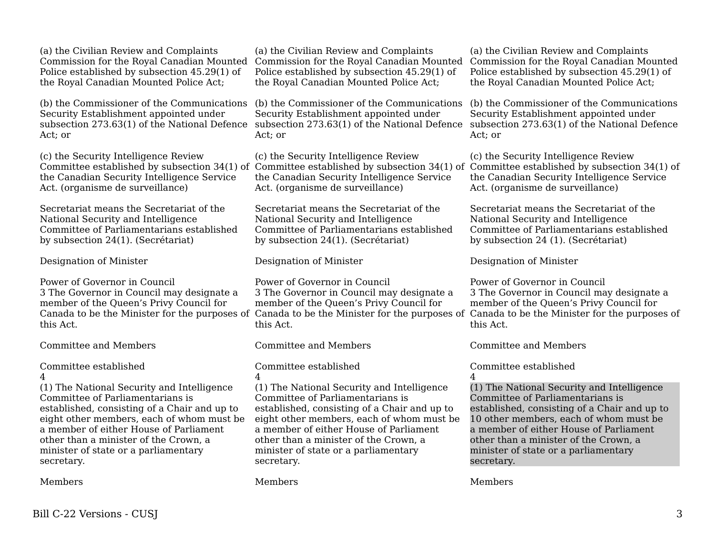(a) the Civilian Review and Complaints Commission for the Royal Canadian Mounted Police established by subsection 45.29(1) of the Royal Canadian Mounted Police Act;

(b) the Commissioner of the Communications Security Establishment appointed under subsection 273.63(1) of the National Defence Act; or

(c) the Security Intelligence Review Committee established by subsection 34(1) of Committee established by subsection 34(1) of Committee established by subsection 34(1) of the Canadian Security Intelligence Service Act. (organisme de surveillance)

Secretariat means the Secretariat of the National Security and Intelligence Committee of Parliamentarians established by subsection 24(1). (Secrétariat)

Designation of Minister

Power of Governor in Council 3 The Governor in Council may designate a member of the Queen's Privy Council for this Act.

Committee and Members

Committee established 4

(1) The National Security and Intelligence Committee of Parliamentarians is established, consisting of a Chair and up to eight other members, each of whom must be a member of either House of Parliament other than a minister of the Crown, a minister of state or a parliamentary secretary.

Members

(a) the Civilian Review and Complaints Commission for the Royal Canadian Mounted Commission for the Royal Canadian Mounted Police established by subsection 45.29(1) of the Royal Canadian Mounted Police Act;

(b) the Commissioner of the Communications (b) the Commissioner of the Communications Security Establishment appointed under subsection 273.63(1) of the National Defence subsection 273.63(1) of the National Defence Act; or

(c) the Security Intelligence Review the Canadian Security Intelligence Service Act. (organisme de surveillance)

Secretariat means the Secretariat of the National Security and Intelligence Committee of Parliamentarians established by subsection 24(1). (Secrétariat)

Designation of Minister

Power of Governor in Council 3 The Governor in Council may designate a member of the Queen's Privy Council for this Act.

Committee and Members

Committee established  $\Delta$ 

(1) The National Security and Intelligence Committee of Parliamentarians is established, consisting of a Chair and up to eight other members, each of whom must be a member of either House of Parliament other than a minister of the Crown, a minister of state or a parliamentary secretary.

Members

(a) the Civilian Review and Complaints Police established by subsection 45.29(1) of the Royal Canadian Mounted Police Act;

Security Establishment appointed under Act; or

(c) the Security Intelligence Review the Canadian Security Intelligence Service Act. (organisme de surveillance)

Secretariat means the Secretariat of the National Security and Intelligence Committee of Parliamentarians established by subsection 24 (1). (Secrétariat)

Designation of Minister

Canada to be the Minister for the purposes of Canada to be the Minister for the purposes of Canada to be the Minister for the purposes of Power of Governor in Council 3 The Governor in Council may designate a member of the Queen's Privy Council for this Act.

Committee and Members

Committee established 4

(1) The National Security and Intelligence Committee of Parliamentarians is established, consisting of a Chair and up to 10 other members, each of whom must be a member of either House of Parliament other than a minister of the Crown, a minister of state or a parliamentary secretary.

Members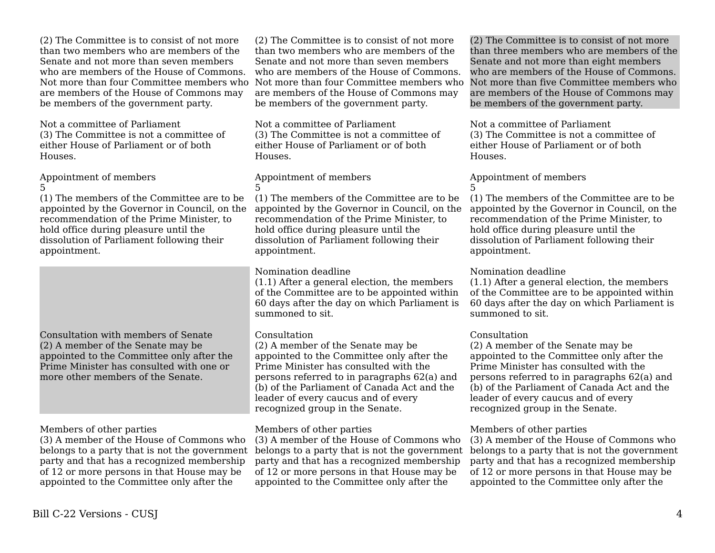(2) The Committee is to consist of not more than two members who are members of the Senate and not more than seven members who are members of the House of Commons. Not more than four Committee members who are members of the House of Commons may be members of the government party.

Not a committee of Parliament (3) The Committee is not a committee of either House of Parliament or of both Houses.

Appointment of members 5

(1) The members of the Committee are to be appointed by the Governor in Council, on the recommendation of the Prime Minister, to hold office during pleasure until the dissolution of Parliament following their appointment.

Consultation with members of Senate (2) A member of the Senate may be appointed to the Committee only after the Prime Minister has consulted with one or more other members of the Senate.

## Members of other parties

(3) A member of the House of Commons who belongs to a party that is not the government party and that has a recognized membership of 12 or more persons in that House may be appointed to the Committee only after the

(2) The Committee is to consist of not more than two members who are members of the Senate and not more than seven members who are members of the House of Commons. are members of the House of Commons may be members of the government party.

Not a committee of Parliament (3) The Committee is not a committee of either House of Parliament or of both Houses.

### Appointment of members 5

(1) The members of the Committee are to be (1) The members of the Committee are to be appointed by the Governor in Council, on the recommendation of the Prime Minister, to hold office during pleasure until the dissolution of Parliament following their appointment.

## Nomination deadline

(1.1) After a general election, the members of the Committee are to be appointed within 60 days after the day on which Parliament is summoned to sit.

# Consultation

(2) A member of the Senate may be appointed to the Committee only after the Prime Minister has consulted with the persons referred to in paragraphs 62(a) and (b) of the Parliament of Canada Act and the leader of every caucus and of every recognized group in the Senate.

# Members of other parties

(3) A member of the House of Commons who belongs to a party that is not the government belongs to a party that is not the government party and that has a recognized membership of 12 or more persons in that House may be appointed to the Committee only after the

Not more than four Committee members who Not more than five Committee members who (2) The Committee is to consist of not more than three members who are members of the Senate and not more than eight members who are members of the House of Commons. are members of the House of Commons may be members of the government party.

> Not a committee of Parliament (3) The Committee is not a committee of either House of Parliament or of both Houses.

# Appointment of members

5 appointed by the Governor in Council, on the recommendation of the Prime Minister, to hold office during pleasure until the dissolution of Parliament following their appointment.

## Nomination deadline

(1.1) After a general election, the members of the Committee are to be appointed within 60 days after the day on which Parliament is summoned to sit.

## Consultation

(2) A member of the Senate may be appointed to the Committee only after the Prime Minister has consulted with the persons referred to in paragraphs 62(a) and (b) of the Parliament of Canada Act and the leader of every caucus and of every recognized group in the Senate.

## Members of other parties

(3) A member of the House of Commons who party and that has a recognized membership of 12 or more persons in that House may be appointed to the Committee only after the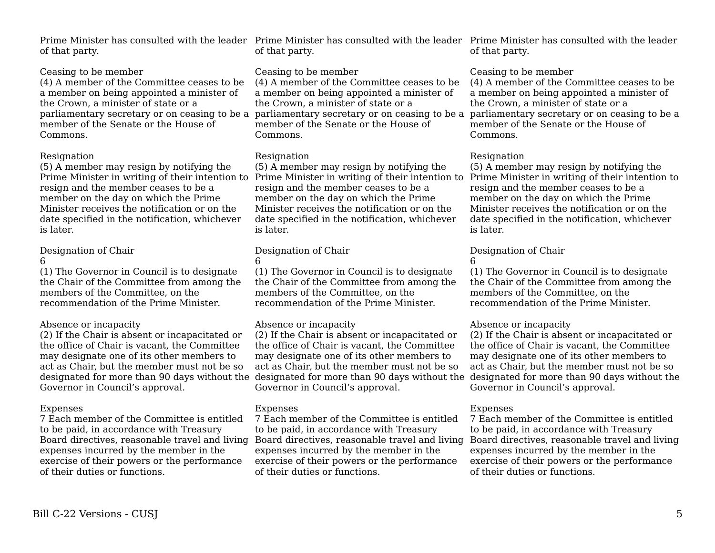of that party.

## Ceasing to be member

(4) A member of the Committee ceases to be a member on being appointed a minister of the Crown, a minister of state or a member of the Senate or the House of Commons.

## Resignation

(5) A member may resign by notifying the Prime Minister in writing of their intention to resign and the member ceases to be a member on the day on which the Prime Minister receives the notification or on the date specified in the notification, whichever is later.

## Designation of Chair

6

(1) The Governor in Council is to designate the Chair of the Committee from among the members of the Committee, on the recommendation of the Prime Minister.

# Absence or incapacity

(2) If the Chair is absent or incapacitated or the office of Chair is vacant, the Committee may designate one of its other members to act as Chair, but the member must not be so Governor in Council's approval.

# Expenses

7 Each member of the Committee is entitled to be paid, in accordance with Treasury Board directives, reasonable travel and living expenses incurred by the member in the exercise of their powers or the performance of their duties or functions.

Prime Minister has consulted with the leader Prime Minister has consulted with the leader Prime Minister has consulted with the leader of that party.

## Ceasing to be member

(4) A member of the Committee ceases to be a member on being appointed a minister of the Crown, a minister of state or a member of the Senate or the House of Commons.

## Resignation

(5) A member may resign by notifying the resign and the member ceases to be a member on the day on which the Prime Minister receives the notification or on the date specified in the notification, whichever is later.

# Designation of Chair

6

(1) The Governor in Council is to designate the Chair of the Committee from among the members of the Committee, on the recommendation of the Prime Minister.

# Absence or incapacity

(2) If the Chair is absent or incapacitated or the office of Chair is vacant, the Committee may designate one of its other members to act as Chair, but the member must not be so Governor in Council's approval.

## Expenses

7 Each member of the Committee is entitled to be paid, in accordance with Treasury expenses incurred by the member in the exercise of their powers or the performance of their duties or functions.

of that party.

# Ceasing to be member

parliamentary secretary or on ceasing to be a parliamentary secretary or on ceasing to be a parliamentary secretary or on ceasing to be a (4) A member of the Committee ceases to be a member on being appointed a minister of the Crown, a minister of state or a member of the Senate or the House of Commons.

# Resignation

Prime Minister in writing of their intention to Prime Minister in writing of their intention to (5) A member may resign by notifying the resign and the member ceases to be a member on the day on which the Prime Minister receives the notification or on the date specified in the notification, whichever is later.

# Designation of Chair

6

(1) The Governor in Council is to designate the Chair of the Committee from among the members of the Committee, on the recommendation of the Prime Minister.

## Absence or incapacity

designated for more than 90 days without the designated for more than 90 days without the designated for more than 90 days without the (2) If the Chair is absent or incapacitated or the office of Chair is vacant, the Committee may designate one of its other members to act as Chair, but the member must not be so Governor in Council's approval.

# **Expenses**

Board directives, reasonable travel and living Board directives, reasonable travel and living 7 Each member of the Committee is entitled to be paid, in accordance with Treasury expenses incurred by the member in the exercise of their powers or the performance of their duties or functions.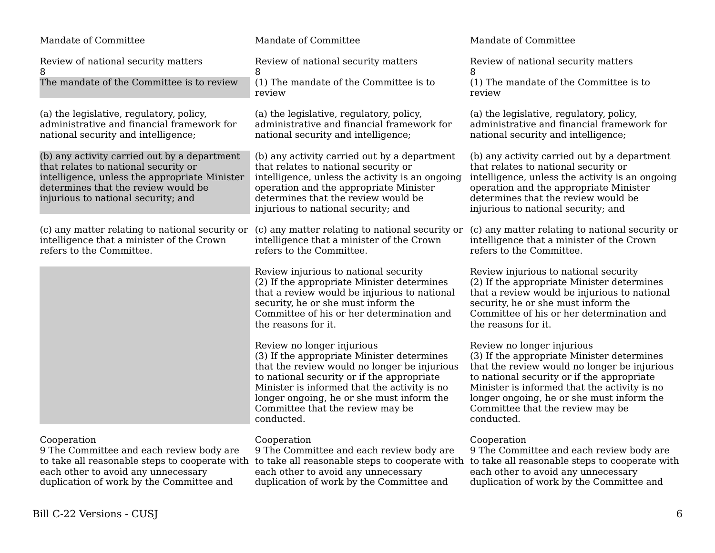| Mandate of Committee                                                                                                                                                                                                | Mandate of Committee                                                                                                                                                                                                                                                                                                  | Mandate of Committee                                                                                                                                                                                                                                                                                                  |
|---------------------------------------------------------------------------------------------------------------------------------------------------------------------------------------------------------------------|-----------------------------------------------------------------------------------------------------------------------------------------------------------------------------------------------------------------------------------------------------------------------------------------------------------------------|-----------------------------------------------------------------------------------------------------------------------------------------------------------------------------------------------------------------------------------------------------------------------------------------------------------------------|
| Review of national security matters<br>8                                                                                                                                                                            | Review of national security matters<br>8                                                                                                                                                                                                                                                                              | Review of national security matters<br>8                                                                                                                                                                                                                                                                              |
| The mandate of the Committee is to review                                                                                                                                                                           | (1) The mandate of the Committee is to<br>review                                                                                                                                                                                                                                                                      | (1) The mandate of the Committee is to<br>review                                                                                                                                                                                                                                                                      |
| (a) the legislative, regulatory, policy,<br>administrative and financial framework for<br>national security and intelligence;                                                                                       | (a) the legislative, regulatory, policy,<br>administrative and financial framework for<br>national security and intelligence;                                                                                                                                                                                         | (a) the legislative, regulatory, policy,<br>administrative and financial framework for<br>national security and intelligence;                                                                                                                                                                                         |
| (b) any activity carried out by a department<br>that relates to national security or<br>intelligence, unless the appropriate Minister<br>determines that the review would be<br>injurious to national security; and | (b) any activity carried out by a department<br>that relates to national security or<br>intelligence, unless the activity is an ongoing<br>operation and the appropriate Minister<br>determines that the review would be<br>injurious to national security; and                                                       | (b) any activity carried out by a department<br>that relates to national security or<br>intelligence, unless the activity is an ongoing<br>operation and the appropriate Minister<br>determines that the review would be<br>injurious to national security; and                                                       |
| (c) any matter relating to national security or<br>intelligence that a minister of the Crown<br>refers to the Committee.                                                                                            | (c) any matter relating to national security or<br>intelligence that a minister of the Crown<br>refers to the Committee.                                                                                                                                                                                              | (c) any matter relating to national security or<br>intelligence that a minister of the Crown<br>refers to the Committee.                                                                                                                                                                                              |
|                                                                                                                                                                                                                     | Review injurious to national security<br>(2) If the appropriate Minister determines<br>that a review would be injurious to national<br>security, he or she must inform the<br>Committee of his or her determination and<br>the reasons for it.                                                                        | Review injurious to national security<br>(2) If the appropriate Minister determines<br>that a review would be injurious to national<br>security, he or she must inform the<br>Committee of his or her determination and<br>the reasons for it.                                                                        |
|                                                                                                                                                                                                                     | Review no longer injurious<br>(3) If the appropriate Minister determines<br>that the review would no longer be injurious<br>to national security or if the appropriate<br>Minister is informed that the activity is no<br>longer ongoing, he or she must inform the<br>Committee that the review may be<br>conducted. | Review no longer injurious<br>(3) If the appropriate Minister determines<br>that the review would no longer be injurious<br>to national security or if the appropriate<br>Minister is informed that the activity is no<br>longer ongoing, he or she must inform the<br>Committee that the review may be<br>conducted. |
| Cooperation<br>9 The Committee and each review body are<br>to take all reasonable steps to cooperate with<br>each other to avoid any unnecessary<br>duplication of work by the Committee and                        | Cooperation<br>9 The Committee and each review body are<br>to take all reasonable steps to cooperate with<br>each other to avoid any unnecessary<br>duplication of work by the Committee and                                                                                                                          | Cooperation<br>9 The Committee and each review body are<br>to take all reasonable steps to cooperate with<br>each other to avoid any unnecessary<br>duplication of work by the Committee and                                                                                                                          |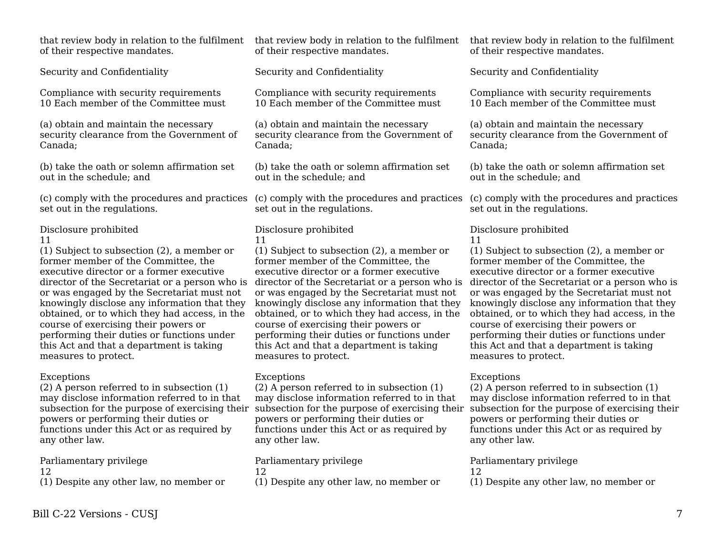that review body in relation to the fulfilment of their respective mandates.

Security and Confidentiality

Compliance with security requirements 10 Each member of the Committee must

(a) obtain and maintain the necessary security clearance from the Government of Canada;

(b) take the oath or solemn affirmation set out in the schedule; and

(c) comply with the procedures and practices set out in the regulations.

Disclosure prohibited

## 11

(1) Subject to subsection (2), a member or former member of the Committee, the executive director or a former executive director of the Secretariat or a person who is or was engaged by the Secretariat must not knowingly disclose any information that they obtained, or to which they had access, in the course of exercising their powers or performing their duties or functions under this Act and that a department is taking measures to protect.

## Exceptions

(2) A person referred to in subsection (1) may disclose information referred to in that subsection for the purpose of exercising their powers or performing their duties or functions under this Act or as required by any other law.

Parliamentary privilege

12

(1) Despite any other law, no member or

of their respective mandates.

Security and Confidentiality

Compliance with security requirements 10 Each member of the Committee must

(a) obtain and maintain the necessary security clearance from the Government of Canada;

(b) take the oath or solemn affirmation set out in the schedule; and

set out in the regulations.

# Disclosure prohibited

11

(1) Subject to subsection (2), a member or former member of the Committee, the executive director or a former executive director of the Secretariat or a person who is director of the Secretariat or a person who is or was engaged by the Secretariat must not knowingly disclose any information that they obtained, or to which they had access, in the course of exercising their powers or performing their duties or functions under this Act and that a department is taking measures to protect.

## Exceptions

(2) A person referred to in subsection (1) may disclose information referred to in that powers or performing their duties or functions under this Act or as required by any other law.

Parliamentary privilege 12 (1) Despite any other law, no member or

that review body in relation to the fulfilment that review body in relation to the fulfilment of their respective mandates.

Security and Confidentiality

Compliance with security requirements 10 Each member of the Committee must

(a) obtain and maintain the necessary security clearance from the Government of Canada;

(b) take the oath or solemn affirmation set out in the schedule; and

(c) comply with the procedures and practices (c) comply with the procedures and practices set out in the regulations.

# Disclosure prohibited

11

(1) Subject to subsection (2), a member or former member of the Committee, the executive director or a former executive or was engaged by the Secretariat must not knowingly disclose any information that they obtained, or to which they had access, in the course of exercising their powers or performing their duties or functions under this Act and that a department is taking measures to protect.

# Exceptions

subsection for the purpose of exercising their subsection for the purpose of exercising their (2) A person referred to in subsection (1) may disclose information referred to in that powers or performing their duties or functions under this Act or as required by any other law.

# Parliamentary privilege

12

(1) Despite any other law, no member or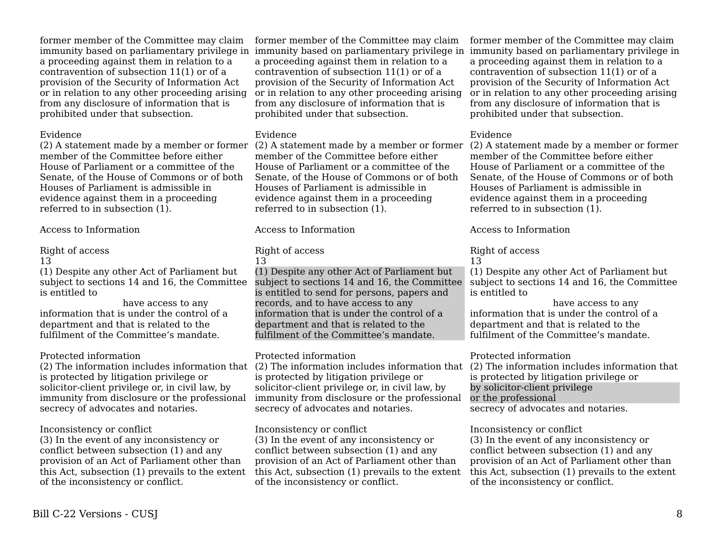former member of the Committee may claim a proceeding against them in relation to a contravention of subsection 11(1) or of a provision of the Security of Information Act or in relation to any other proceeding arising from any disclosure of information that is prohibited under that subsection.

#### Evidence

(2) A statement made by a member or former member of the Committee before either House of Parliament or a committee of the Senate, of the House of Commons or of both Houses of Parliament is admissible in evidence against them in a proceeding referred to in subsection (1).

Access to Information

# Right of access

#### 13

(1) Despite any other Act of Parliament but subject to sections 14 and 16, the Committee is entitled to

 have access to any information that is under the control of a department and that is related to the fulfilment of the Committee's mandate.

# Protected information

is protected by litigation privilege or solicitor-client privilege or, in civil law, by immunity from disclosure or the professional secrecy of advocates and notaries.

## Inconsistency or conflict

(3) In the event of any inconsistency or conflict between subsection (1) and any provision of an Act of Parliament other than this Act, subsection (1) prevails to the extent of the inconsistency or conflict.

immunity based on parliamentary privilege in immunity based on parliamentary privilege in immunity based on parliamentary privilege in former member of the Committee may claim a proceeding against them in relation to a contravention of subsection 11(1) or of a provision of the Security of Information Act or in relation to any other proceeding arising from any disclosure of information that is prohibited under that subsection.

## Evidence

member of the Committee before either House of Parliament or a committee of the Senate, of the House of Commons or of both Houses of Parliament is admissible in evidence against them in a proceeding referred to in subsection (1).

Access to Information

# Right of access

13

(1) Despite any other Act of Parliament but subject to sections 14 and 16, the Committee is entitled to send for persons, papers and records, and to have access to any information that is under the control of a department and that is related to the fulfilment of the Committee's mandate.

# Protected information

(2) The information includes information that (2) The information includes information that (2) The information includes information that is protected by litigation privilege or solicitor-client privilege or, in civil law, by immunity from disclosure or the professional secrecy of advocates and notaries.

Inconsistency or conflict

(3) In the event of any inconsistency or conflict between subsection (1) and any provision of an Act of Parliament other than this Act, subsection (1) prevails to the extent of the inconsistency or conflict.

former member of the Committee may claim a proceeding against them in relation to a contravention of subsection 11(1) or of a provision of the Security of Information Act or in relation to any other proceeding arising from any disclosure of information that is prohibited under that subsection.

# Evidence

(2) A statement made by a member or former (2) A statement made by a member or former member of the Committee before either House of Parliament or a committee of the Senate, of the House of Commons or of both Houses of Parliament is admissible in evidence against them in a proceeding referred to in subsection (1).

Access to Information

# Right of access

13

(1) Despite any other Act of Parliament but subject to sections 14 and 16, the Committee is entitled to

 have access to any information that is under the control of a department and that is related to the fulfilment of the Committee's mandate.

## Protected information

is protected by litigation privilege or by solicitor-client privilege or the professional secrecy of advocates and notaries.

# Inconsistency or conflict

(3) In the event of any inconsistency or conflict between subsection (1) and any provision of an Act of Parliament other than this Act, subsection (1) prevails to the extent of the inconsistency or conflict.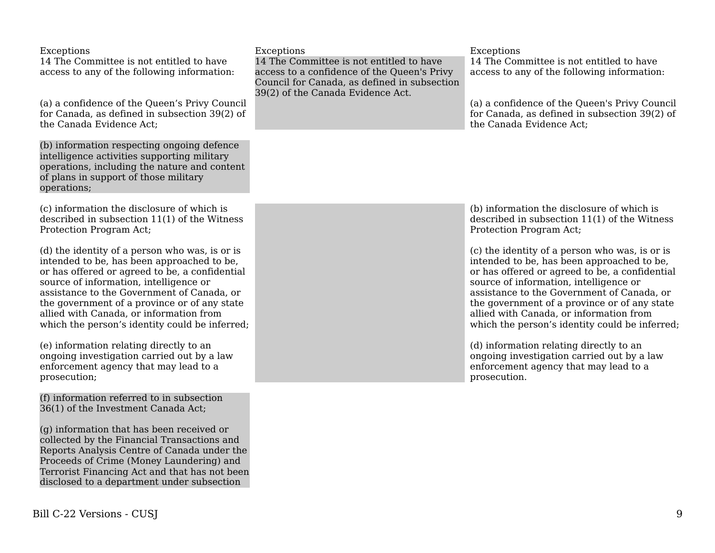| Exceptions<br>14 The Committee is not entitled to have<br>access to any of the following information:                                                                                                                                                                                                                                                                               | Exceptions<br>14 The Committee is not entitled to have<br>access to a confidence of the Queen's Privy<br>Council for Canada, as defined in subsection | Exceptions<br>14 The Committee is not entitled to have<br>access to any of the following information:                                                                                                                                                                                                                                                                               |
|-------------------------------------------------------------------------------------------------------------------------------------------------------------------------------------------------------------------------------------------------------------------------------------------------------------------------------------------------------------------------------------|-------------------------------------------------------------------------------------------------------------------------------------------------------|-------------------------------------------------------------------------------------------------------------------------------------------------------------------------------------------------------------------------------------------------------------------------------------------------------------------------------------------------------------------------------------|
| (a) a confidence of the Queen's Privy Council<br>for Canada, as defined in subsection 39(2) of<br>the Canada Evidence Act;                                                                                                                                                                                                                                                          | 39(2) of the Canada Evidence Act.                                                                                                                     | (a) a confidence of the Queen's Privy Council<br>for Canada, as defined in subsection 39(2) of<br>the Canada Evidence Act;                                                                                                                                                                                                                                                          |
| (b) information respecting ongoing defence<br>intelligence activities supporting military<br>operations, including the nature and content<br>of plans in support of those military<br>operations;                                                                                                                                                                                   |                                                                                                                                                       |                                                                                                                                                                                                                                                                                                                                                                                     |
| (c) information the disclosure of which is<br>described in subsection 11(1) of the Witness<br>Protection Program Act;                                                                                                                                                                                                                                                               |                                                                                                                                                       | (b) information the disclosure of which is<br>described in subsection $11(1)$ of the Witness<br>Protection Program Act;                                                                                                                                                                                                                                                             |
| (d) the identity of a person who was, is or is<br>intended to be, has been approached to be,<br>or has offered or agreed to be, a confidential<br>source of information, intelligence or<br>assistance to the Government of Canada, or<br>the government of a province or of any state<br>allied with Canada, or information from<br>which the person's identity could be inferred; |                                                                                                                                                       | (c) the identity of a person who was, is or is<br>intended to be, has been approached to be,<br>or has offered or agreed to be, a confidential<br>source of information, intelligence or<br>assistance to the Government of Canada, or<br>the government of a province or of any state<br>allied with Canada, or information from<br>which the person's identity could be inferred; |
| (e) information relating directly to an<br>ongoing investigation carried out by a law<br>enforcement agency that may lead to a<br>prosecution;                                                                                                                                                                                                                                      |                                                                                                                                                       | (d) information relating directly to an<br>ongoing investigation carried out by a law<br>enforcement agency that may lead to a<br>prosecution.                                                                                                                                                                                                                                      |
| (f) information referred to in subsection<br>36(1) of the Investment Canada Act;<br>(g) information that has been received or<br>collected by the Financial Transactions and                                                                                                                                                                                                        |                                                                                                                                                       |                                                                                                                                                                                                                                                                                                                                                                                     |

Reports Analysis Centre of Canada under the Proceeds of Crime (Money Laundering) and Terrorist Financing Act and that has not been disclosed to a department under subsection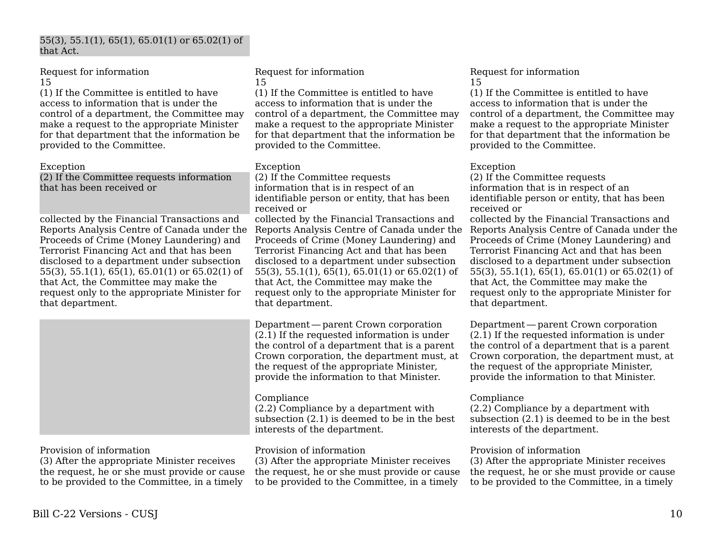#### 55(3), 55.1(1), 65(1), 65.01(1) or 65.02(1) of that Act.

Request for information 15

(1) If the Committee is entitled to have access to information that is under the control of a department, the Committee may make a request to the appropriate Minister for that department that the information be provided to the Committee.

Exception

(2) If the Committee requests information that has been received or

collected by the Financial Transactions and Reports Analysis Centre of Canada under the Proceeds of Crime (Money Laundering) and Terrorist Financing Act and that has been disclosed to a department under subsection 55(3), 55.1(1), 65(1), 65.01(1) or 65.02(1) of that Act, the Committee may make the request only to the appropriate Minister for that department.

Request for information 15

(1) If the Committee is entitled to have access to information that is under the control of a department, the Committee may make a request to the appropriate Minister for that department that the information be provided to the Committee.

#### Exception

(2) If the Committee requests information that is in respect of an identifiable person or entity, that has been received or

collected by the Financial Transactions and Reports Analysis Centre of Canada under the Proceeds of Crime (Money Laundering) and Terrorist Financing Act and that has been disclosed to a department under subsection 55(3), 55.1(1), 65(1), 65.01(1) or 65.02(1) of that Act, the Committee may make the request only to the appropriate Minister for that department.

Department — parent Crown corporation     (2.1) If the requested information is under the control of a department that is a parent Crown corporation, the department must, at the request of the appropriate Minister, provide the information to that Minister.

## Compliance

(2.2) Compliance by a department with subsection (2.1) is deemed to be in the best interests of the department.

## Provision of information

(3) After the appropriate Minister receives the request, he or she must provide or cause to be provided to the Committee, in a timely

#### Request for information 15

(1) If the Committee is entitled to have access to information that is under the control of a department, the Committee may make a request to the appropriate Minister for that department that the information be provided to the Committee.

#### Exception

(2) If the Committee requests information that is in respect of an identifiable person or entity, that has been received or collected by the Financial Transactions and Reports Analysis Centre of Canada under the Proceeds of Crime (Money Laundering) and

Terrorist Financing Act and that has been disclosed to a department under subsection 55(3), 55.1(1), 65(1), 65.01(1) or 65.02(1) of that Act, the Committee may make the request only to the appropriate Minister for that department.

Department — parent Crown corporation     (2.1) If the requested information is under the control of a department that is a parent Crown corporation, the department must, at the request of the appropriate Minister, provide the information to that Minister.

## Compliance

(2.2) Compliance by a department with subsection (2.1) is deemed to be in the best interests of the department.

## Provision of information

(3) After the appropriate Minister receives the request, he or she must provide or cause to be provided to the Committee, in a timely

# Provision of information

(3) After the appropriate Minister receives the request, he or she must provide or cause to be provided to the Committee, in a timely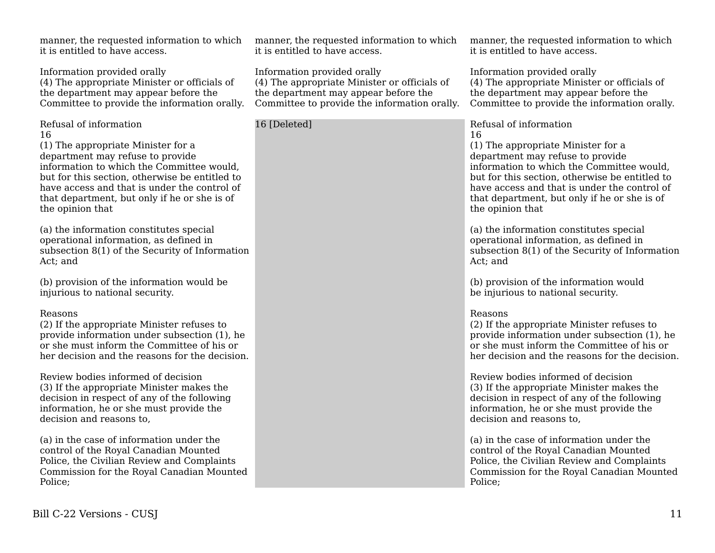Review bodies informed of decision

(3) If the appropriate Minister makes the decision in respect of any of the following information, he or she must provide the decision and reasons to,

manner, the requested information to which

(4) The appropriate Minister or officials of the department may appear before the Committee to provide the information orally.

information to which the Committee would, but for this section, otherwise be entitled to have access and that is under the control of that department, but only if he or she is of

(a) the information constitutes special operational information, as defined in

(b) provision of the information would be

(2) If the appropriate Minister refuses to provide information under subsection (1), he or she must inform the Committee of his or her decision and the reasons for the decision.

injurious to national security.

subsection 8(1) of the Security of Information

it is entitled to have access.

Information provided orally

(1) The appropriate Minister for a department may refuse to provide

Refusal of information

the opinion that

Act; and

Reasons

16

(a) in the case of information under the control of the Royal Canadian Mounted Police, the Civilian Review and Complaints Commission for the Royal Canadian Mounted Police;

manner, the requested information to which it is entitled to have access.

Information provided orally (4) The appropriate Minister or officials of the department may appear before the Committee to provide the information orally.

16 [Deleted]

manner, the requested information to which it is entitled to have access.

Information provided orally (4) The appropriate Minister or officials of the department may appear before the Committee to provide the information orally.

Refusal of information 16

(1) The appropriate Minister for a department may refuse to provide information to which the Committee would, but for this section, otherwise be entitled to have access and that is under the control of that department, but only if he or she is of the opinion that

(a) the information constitutes special operational information, as defined in subsection 8(1) of the Security of Information Act; and

(b) provision of the information would be injurious to national security.

#### Reasons

(2) If the appropriate Minister refuses to provide information under subsection (1), he or she must inform the Committee of his or her decision and the reasons for the decision.

Review bodies informed of decision (3) If the appropriate Minister makes the decision in respect of any of the following information, he or she must provide the decision and reasons to,

(a) in the case of information under the control of the Royal Canadian Mounted Police, the Civilian Review and Complaints Commission for the Royal Canadian Mounted Police;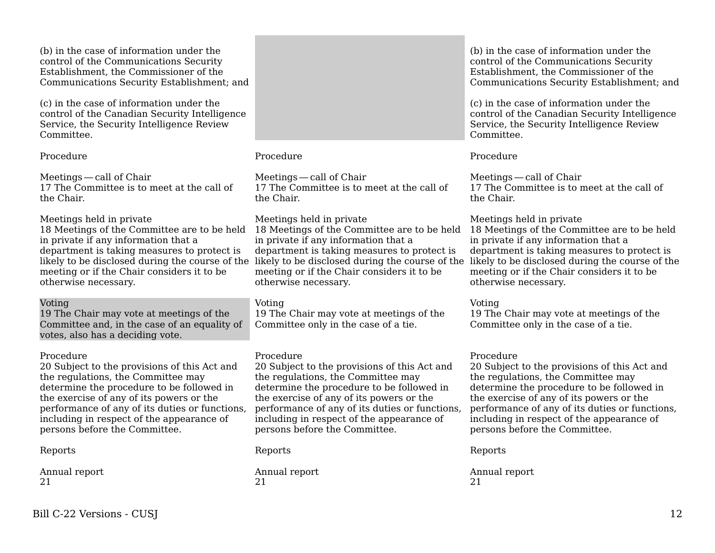(b) in the case of information under the control of the Communications Security Establishment, the Commissioner of the Communications Security Establishment; and

(c) in the case of information under the control of the Canadian Security Intelligence Service, the Security Intelligence Review Committee.

Procedure

Meetings — call of Chair     17 The Committee is to meet at the call of the Chair.

Meetings held in private

18 Meetings of the Committee are to be held in private if any information that a department is taking measures to protect is meeting or if the Chair considers it to be otherwise necessary.

## Voting

19 The Chair may vote at meetings of the Committee and, in the case of an equality of votes, also has a deciding vote.

#### Procedure

20 Subject to the provisions of this Act and the regulations, the Committee may determine the procedure to be followed in the exercise of any of its powers or the performance of any of its duties or functions, including in respect of the appearance of persons before the Committee.

## Reports

Annual report 21

## Procedure

Meetings — call of Chair     17 The Committee is to meet at the call of the Chair.

### Meetings held in private

in private if any information that a department is taking measures to protect is meeting or if the Chair considers it to be otherwise necessary.

## Voting

19 The Chair may vote at meetings of the Committee only in the case of a tie.

#### Procedure

20 Subject to the provisions of this Act and the regulations, the Committee may determine the procedure to be followed in the exercise of any of its powers or the performance of any of its duties or functions, including in respect of the appearance of persons before the Committee.

#### Reports

Annual report 21

(b) in the case of information under the control of the Communications Security Establishment, the Commissioner of the Communications Security Establishment; and

(c) in the case of information under the control of the Canadian Security Intelligence Service, the Security Intelligence Review Committee.

## Procedure

Meetings — call of Chair     17 The Committee is to meet at the call of the Chair.

## Meetings held in private

likely to be disclosed during the course of the likely to be disclosed during the course of the likely to be disclosed during the course of the 18 Meetings of the Committee are to be held 18 Meetings of the Committee are to be held in private if any information that a department is taking measures to protect is meeting or if the Chair considers it to be otherwise necessary.

## Voting

19 The Chair may vote at meetings of the Committee only in the case of a tie.

## Procedure

20 Subject to the provisions of this Act and the regulations, the Committee may determine the procedure to be followed in the exercise of any of its powers or the performance of any of its duties or functions, including in respect of the appearance of persons before the Committee.

Reports

Annual report 21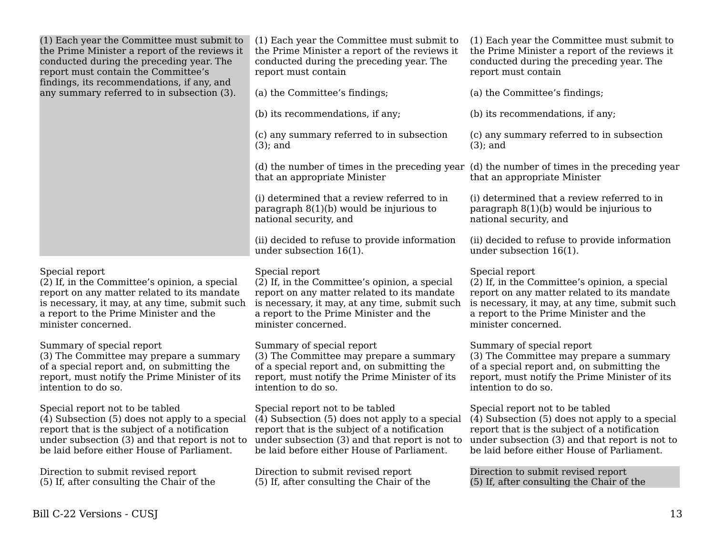| (1) Each year the Committee must submit to<br>the Prime Minister a report of the reviews it<br>conducted during the preceding year. The<br>report must contain the Committee's<br>findings, its recommendations, if any, and      | (1) Each year the Committee must submit to<br>the Prime Minister a report of the reviews it<br>conducted during the preceding year. The<br>report must contain                                                                    | (1) Each year the Committee must submit to<br>the Prime Minister a report of the reviews it<br>conducted during the preceding year. The<br>report must contain                                                                    |
|-----------------------------------------------------------------------------------------------------------------------------------------------------------------------------------------------------------------------------------|-----------------------------------------------------------------------------------------------------------------------------------------------------------------------------------------------------------------------------------|-----------------------------------------------------------------------------------------------------------------------------------------------------------------------------------------------------------------------------------|
| any summary referred to in subsection (3).                                                                                                                                                                                        | (a) the Committee's findings;                                                                                                                                                                                                     | (a) the Committee's findings;                                                                                                                                                                                                     |
|                                                                                                                                                                                                                                   | (b) its recommendations, if any;                                                                                                                                                                                                  | (b) its recommendations, if any;                                                                                                                                                                                                  |
|                                                                                                                                                                                                                                   | (c) any summary referred to in subsection<br>$(3)$ ; and                                                                                                                                                                          | (c) any summary referred to in subsection<br>$(3)$ ; and                                                                                                                                                                          |
|                                                                                                                                                                                                                                   | (d) the number of times in the preceding year<br>that an appropriate Minister                                                                                                                                                     | (d) the number of times in the preceding year<br>that an appropriate Minister                                                                                                                                                     |
|                                                                                                                                                                                                                                   | (i) determined that a review referred to in<br>paragraph $8(1)(b)$ would be injurious to<br>national security, and                                                                                                                | (i) determined that a review referred to in<br>paragraph $8(1)(b)$ would be injurious to<br>national security, and                                                                                                                |
|                                                                                                                                                                                                                                   | (ii) decided to refuse to provide information<br>under subsection $16(1)$ .                                                                                                                                                       | (ii) decided to refuse to provide information<br>under subsection $16(1)$ .                                                                                                                                                       |
| Special report<br>(2) If, in the Committee's opinion, a special<br>report on any matter related to its mandate<br>is necessary, it may, at any time, submit such<br>a report to the Prime Minister and the<br>minister concerned. | Special report<br>(2) If, in the Committee's opinion, a special<br>report on any matter related to its mandate<br>is necessary, it may, at any time, submit such<br>a report to the Prime Minister and the<br>minister concerned. | Special report<br>(2) If, in the Committee's opinion, a special<br>report on any matter related to its mandate<br>is necessary, it may, at any time, submit such<br>a report to the Prime Minister and the<br>minister concerned. |
| Summary of special report<br>(3) The Committee may prepare a summary<br>of a special report and, on submitting the<br>report, must notify the Prime Minister of its<br>intention to do so.                                        | Summary of special report<br>(3) The Committee may prepare a summary<br>of a special report and, on submitting the<br>report, must notify the Prime Minister of its<br>intention to do so.                                        | Summary of special report<br>(3) The Committee may prepare a summary<br>of a special report and, on submitting the<br>report, must notify the Prime Minister of its<br>intention to do so.                                        |
| Special report not to be tabled<br>(4) Subsection (5) does not apply to a special<br>report that is the subject of a notification<br>under subsection (3) and that report is not to<br>be laid before either House of Parliament. | Special report not to be tabled<br>(4) Subsection (5) does not apply to a special<br>report that is the subject of a notification<br>under subsection (3) and that report is not to<br>be laid before either House of Parliament. | Special report not to be tabled<br>(4) Subsection (5) does not apply to a special<br>report that is the subject of a notification<br>under subsection (3) and that report is not to<br>be laid before either House of Parliament. |
| Direction to submit revised report<br>(5) If, after consulting the Chair of the                                                                                                                                                   | Direction to submit revised report<br>(5) If, after consulting the Chair of the                                                                                                                                                   | Direction to submit revised report<br>(5) If, after consulting the Chair of the                                                                                                                                                   |
|                                                                                                                                                                                                                                   |                                                                                                                                                                                                                                   |                                                                                                                                                                                                                                   |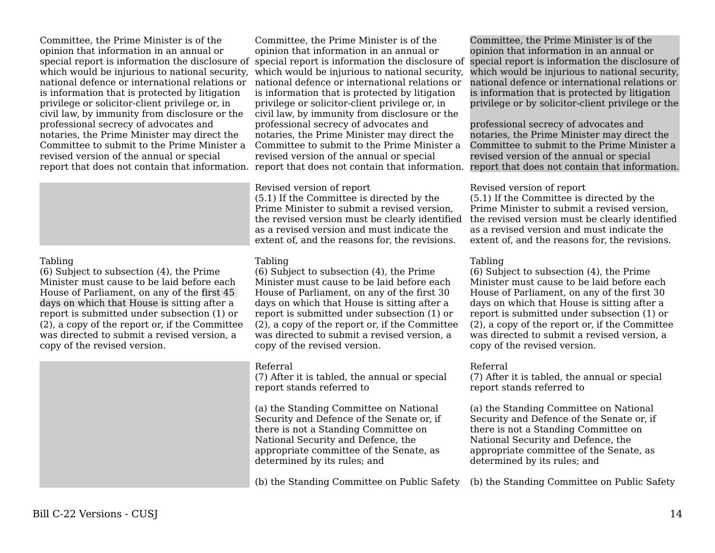Committee, the Prime Minister is of the opinion that information in an annual or special report is information the disclosure of which would be injurious to national security. national defence or international relations or is information that is protected by litigation privilege or solicitor-client privilege or, in civil law, by immunity from disclosure or the professional secrecy of advocates and notaries, the Prime Minister may direct the Committee to submit to the Prime Minister a revised version of the annual or special

#### Tabling

(6) Subject to subsection (4), the Prime Minister must cause to be laid before each House of Parliament, on any of the first 45 days on which that House is sitting after a report is submitted under subsection (1) or (2), a copy of the report or, if the Committee was directed to submit a revised version, a copy of the revised version.

report that does not contain that information. report that does not contain that information. report that does not contain that information. Committee, the Prime Minister is of the opinion that information in an annual or special report is information the disclosure of which would be injurious to national security. national defence or international relations or is information that is protected by litigation privilege or solicitor-client privilege or, in civil law, by immunity from disclosure or the professional secrecy of advocates and notaries, the Prime Minister may direct the Committee to submit to the Prime Minister a revised version of the annual or special

#### Revised version of report

(5.1) If the Committee is directed by the Prime Minister to submit a revised version, the revised version must be clearly identified as a revised version and must indicate the extent of, and the reasons for, the revisions.

#### Tabling

(6) Subject to subsection (4), the Prime Minister must cause to be laid before each House of Parliament, on any of the first 30 days on which that House is sitting after a report is submitted under subsection (1) or (2), a copy of the report or, if the Committee was directed to submit a revised version, a copy of the revised version.

#### Referral

(7) After it is tabled, the annual or special report stands referred to

(a) the Standing Committee on National Security and Defence of the Senate or, if there is not a Standing Committee on National Security and Defence, the appropriate committee of the Senate, as determined by its rules; and

(b) the Standing Committee on Public Safety (b) the Standing Committee on Public Safety

Committee, the Prime Minister is of the opinion that information in an annual or special report is information the disclosure of which would be injurious to national security. national defence or international relations or is information that is protected by litigation privilege or by solicitor-client privilege or the

professional secrecy of advocates and notaries, the Prime Minister may direct the Committee to submit to the Prime Minister a revised version of the annual or special

#### Revised version of report

(5.1) If the Committee is directed by the Prime Minister to submit a revised version, the revised version must be clearly identified as a revised version and must indicate the extent of, and the reasons for, the revisions.

#### Tabling

(6) Subject to subsection (4), the Prime Minister must cause to be laid before each House of Parliament, on any of the first 30 days on which that House is sitting after a report is submitted under subsection (1) or (2), a copy of the report or, if the Committee was directed to submit a revised version, a copy of the revised version.

## Referral

(7) After it is tabled, the annual or special report stands referred to

(a) the Standing Committee on National Security and Defence of the Senate or, if there is not a Standing Committee on National Security and Defence, the appropriate committee of the Senate, as determined by its rules; and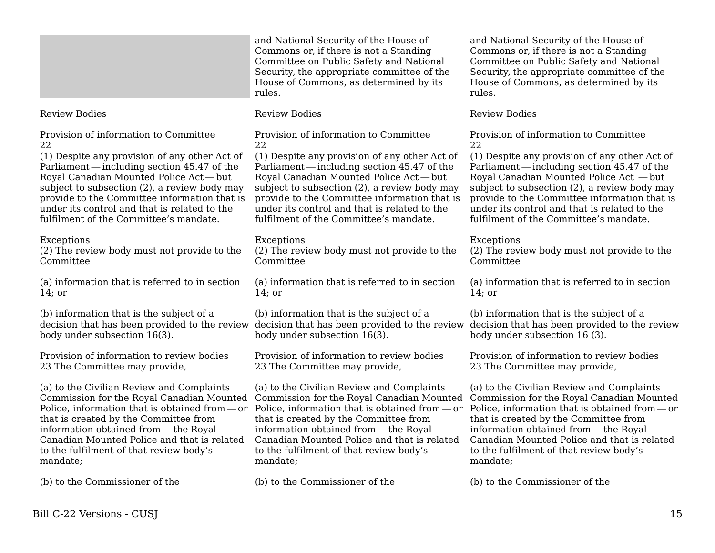| and National Security of the House of      |
|--------------------------------------------|
| Commons or, if there is not a Standing     |
| Committee on Public Safety and National    |
| Security, the appropriate committee of the |
| House of Commons, as determined by its     |
| rules.                                     |

Provision of information to Committee

(1) Despite any provision of any other Act of Parliament — including section 45.47 of the     Royal Canadian Mounted Police Act — but     subject to subsection (2), a review body may provide to the Committee information that is under its control and that is related to the fulfilment of the Committee's mandate.

(2) The review body must not provide to the

(a) information that is referred to in section

(b) information that is the subject of a

Provision of information to review bodies

(a) to the Civilian Review and Complaints

that is created by the Committee from information obtained from — the Royal     Canadian Mounted Police and that is related

to the fulfilment of that review body's

(b) to the Commissioner of the

body under subsection 16(3).

23 The Committee may provide,

Review Bodies

Exceptions

Committee

14; or

mandate;

22

Review Bodies

Provision of information to Committee 22

(1) Despite any provision of any other Act of Parliament — including section 45.47 of the     Royal Canadian Mounted Police Act — but     subject to subsection (2), a review body may provide to the Committee information that is under its control and that is related to the fulfilment of the Committee's mandate.

Exceptions

(2) The review body must not provide to the Committee

(a) information that is referred to in section 14; or

(b) information that is the subject of a decision that has been provided to the review body under subsection 16(3).

Provision of information to review bodies 23 The Committee may provide,

(a) to the Civilian Review and Complaints Commission for the Royal Canadian Mounted Commission for the Royal Canadian Mounted Commission for the Royal Canadian Mounted Police, information that is obtained from—or Police, information that is obtained from—or Police, information that is obtained from—or that is created by the Committee from information obtained from — the Royal     Canadian Mounted Police and that is related to the fulfilment of that review body's mandate;

(b) to the Commissioner of the

House of Commons, as determined by its rules. Review Bodies

> Provision of information to Committee 22

and National Security of the House of Commons or, if there is not a Standing Committee on Public Safety and National Security, the appropriate committee of the

(1) Despite any provision of any other Act of Parliament — including section 45.47 of the     Royal Canadian Mounted Police Act — but     subject to subsection (2), a review body may provide to the Committee information that is under its control and that is related to the fulfilment of the Committee's mandate.

### Exceptions

(2) The review body must not provide to the Committee

(a) information that is referred to in section 14; or

decision that has been provided to the review decision that has been provided to the review (b) information that is the subject of a body under subsection 16 (3).

> Provision of information to review bodies 23 The Committee may provide,

(a) to the Civilian Review and Complaints that is created by the Committee from information obtained from — the Royal     Canadian Mounted Police and that is related to the fulfilment of that review body's mandate;

(b) to the Commissioner of the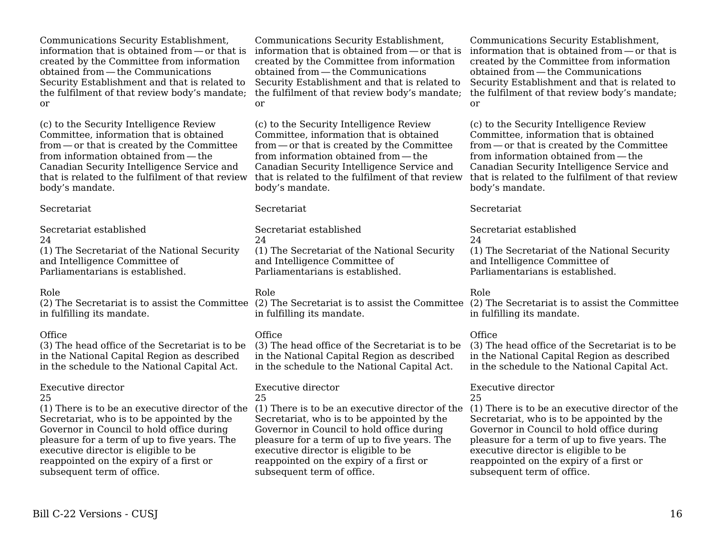Communications Security Establishment, information that is obtained from — or that is     created by the Committee from information obtained from — the Communications     Security Establishment and that is related to the fulfilment of that review body's mandate; or

(c) to the Security Intelligence Review Committee, information that is obtained from — or that is created by the Committee     from information obtained from — the     Canadian Security Intelligence Service and that is related to the fulfilment of that review body's mandate.

#### Secretariat

Secretariat established 24 (1) The Secretariat of the National Security and Intelligence Committee of Parliamentarians is established.

#### Role

in fulfilling its mandate.

#### **Office**

(3) The head office of the Secretariat is to be in the National Capital Region as described in the schedule to the National Capital Act.

#### Executive director

25

Secretariat, who is to be appointed by the Governor in Council to hold office during pleasure for a term of up to five years. The executive director is eligible to be reappointed on the expiry of a first or subsequent term of office.

Communications Security Establishment, created by the Committee from information obtained from — the Communications     Security Establishment and that is related to the fulfilment of that review body's mandate; or

(c) to the Security Intelligence Review Committee, information that is obtained from — or that is created by the Committee     from information obtained from — the     Canadian Security Intelligence Service and that is related to the fulfilment of that review that is related to the fulfilment of that review body's mandate.

#### Secretariat

Secretariat established  $24$ (1) The Secretariat of the National Security and Intelligence Committee of Parliamentarians is established.

#### Role

in fulfilling its mandate.

#### **Office**

(3) The head office of the Secretariat is to be in the National Capital Region as described in the schedule to the National Capital Act.

# Executive director

25

Secretariat, who is to be appointed by the Governor in Council to hold office during pleasure for a term of up to five years. The executive director is eligible to be reappointed on the expiry of a first or subsequent term of office.

information that is obtained from — or that is     information that is obtained from — or that is     Communications Security Establishment, created by the Committee from information obtained from — the Communications     Security Establishment and that is related to the fulfilment of that review body's mandate; or

> (c) to the Security Intelligence Review Committee, information that is obtained from — or that is created by the Committee     from information obtained from — the     Canadian Security Intelligence Service and body's mandate.

#### Secretariat

Secretariat established  $24$ (1) The Secretariat of the National Security and Intelligence Committee of Parliamentarians is established.

#### Role

(2) The Secretariat is to assist the Committee (2) The Secretariat is to assist the Committee (2) The Secretariat is to assist the Committee in fulfilling its mandate.

#### **Office**

(3) The head office of the Secretariat is to be in the National Capital Region as described in the schedule to the National Capital Act.

#### Executive director 25

(1) There is to be an executive director of the (1) There is to be an executive director of the (1) There is to be an executive director of the Secretariat, who is to be appointed by the Governor in Council to hold office during pleasure for a term of up to five years. The executive director is eligible to be reappointed on the expiry of a first or subsequent term of office.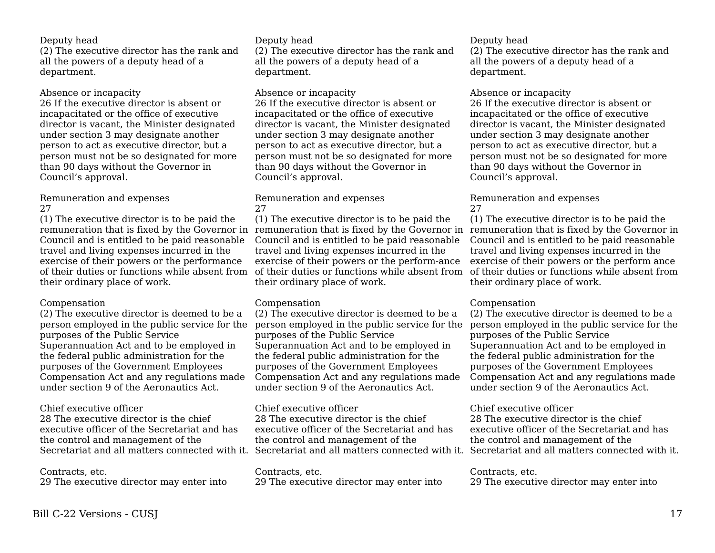### Deputy head

(2) The executive director has the rank and all the powers of a deputy head of a department.

#### Absence or incapacity

26 If the executive director is absent or incapacitated or the office of executive director is vacant, the Minister designated under section 3 may designate another person to act as executive director, but a person must not be so designated for more than 90 days without the Governor in Council's approval.

#### Remuneration and expenses 27

(1) The executive director is to be paid the Council and is entitled to be paid reasonable travel and living expenses incurred in the exercise of their powers or the performance of their duties or functions while absent from their ordinary place of work.

#### Compensation

(2) The executive director is deemed to be a person employed in the public service for the purposes of the Public Service Superannuation Act and to be employed in the federal public administration for the purposes of the Government Employees Compensation Act and any regulations made under section 9 of the Aeronautics Act.

#### Chief executive officer

28 The executive director is the chief executive officer of the Secretariat and has the control and management of the

## Contracts, etc.

29 The executive director may enter into

#### Deputy head

(2) The executive director has the rank and all the powers of a deputy head of a department.

#### Absence or incapacity

26 If the executive director is absent or incapacitated or the office of executive director is vacant, the Minister designated under section 3 may designate another person to act as executive director, but a person must not be so designated for more than 90 days without the Governor in Council's approval.

#### Remuneration and expenses 27

remuneration that is fixed by the Governor in remuneration that is fixed by the Governor in remuneration that is fixed by the Governor in (1) The executive director is to be paid the Council and is entitled to be paid reasonable travel and living expenses incurred in the exercise of their powers or the perform-ance of their duties or functions while absent from of their duties or functions while absent from their ordinary place of work.

## Compensation

(2) The executive director is deemed to be a person employed in the public service for the person employed in the public service for the purposes of the Public Service Superannuation Act and to be employed in the federal public administration for the purposes of the Government Employees Compensation Act and any regulations made under section 9 of the Aeronautics Act.

#### Chief executive officer

Secretariat and all matters connected with it. Secretariat and all matters connected with it. Secretariat and all matters connected with it. 28 The executive director is the chief executive officer of the Secretariat and has the control and management of the

#### Contracts, etc. 29 The executive director may enter into

#### Deputy head

(2) The executive director has the rank and all the powers of a deputy head of a department.

#### Absence or incapacity

26 If the executive director is absent or incapacitated or the office of executive director is vacant, the Minister designated under section 3 may designate another person to act as executive director, but a person must not be so designated for more than 90 days without the Governor in Council's approval.

#### Remuneration and expenses 27

(1) The executive director is to be paid the Council and is entitled to be paid reasonable travel and living expenses incurred in the exercise of their powers or the perform ance their ordinary place of work.

## Compensation

(2) The executive director is deemed to be a purposes of the Public Service Superannuation Act and to be employed in the federal public administration for the purposes of the Government Employees Compensation Act and any regulations made under section 9 of the Aeronautics Act.

## Chief executive officer

28 The executive director is the chief executive officer of the Secretariat and has the control and management of the

## Contracts, etc.

29 The executive director may enter into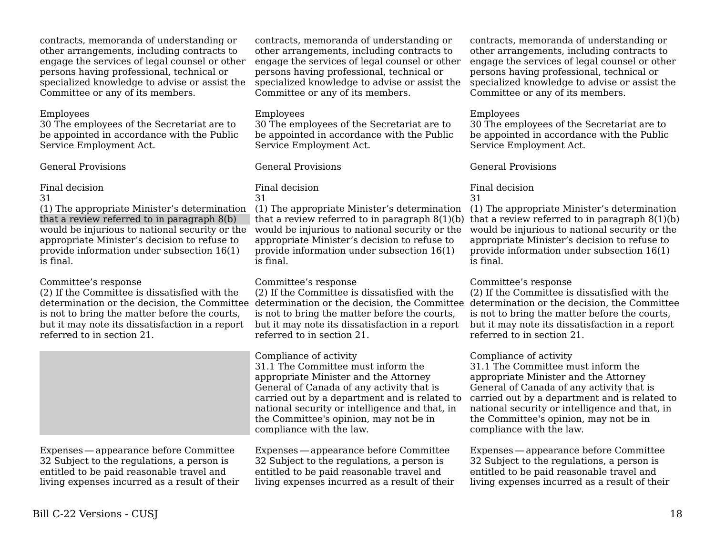contracts, memoranda of understanding or other arrangements, including contracts to engage the services of legal counsel or other persons having professional, technical or specialized knowledge to advise or assist the Committee or any of its members.

#### Employees

30 The employees of the Secretariat are to be appointed in accordance with the Public Service Employment Act.

## General Provisions

### Final decision

31

(1) The appropriate Minister's determination that a review referred to in paragraph 8(b) would be injurious to national security or the appropriate Minister's decision to refuse to provide information under subsection 16(1) is final.

## Committee's response

(2) If the Committee is dissatisfied with the determination or the decision, the Committee is not to bring the matter before the courts, but it may note its dissatisfaction in a report referred to in section 21.



Expenses — appearance before Committee     32 Subject to the regulations, a person is entitled to be paid reasonable travel and living expenses incurred as a result of their

contracts, memoranda of understanding or other arrangements, including contracts to engage the services of legal counsel or other persons having professional, technical or specialized knowledge to advise or assist the Committee or any of its members.

## Employees

30 The employees of the Secretariat are to be appointed in accordance with the Public Service Employment Act.

## General Provisions

#### Final decision 31

(1) The appropriate Minister's determination (1) The appropriate Minister's determination would be injurious to national security or the appropriate Minister's decision to refuse to provide information under subsection 16(1) is final.

## Committee's response

(2) If the Committee is dissatisfied with the is not to bring the matter before the courts, but it may note its dissatisfaction in a report referred to in section 21.

## Compliance of activity

31.1 The Committee must inform the appropriate Minister and the Attorney General of Canada of any activity that is carried out by a department and is related to national security or intelligence and that, in the Committee's opinion, may not be in compliance with the law.

Expenses — appearance before Committee     32 Subject to the regulations, a person is entitled to be paid reasonable travel and living expenses incurred as a result of their

contracts, memoranda of understanding or other arrangements, including contracts to engage the services of legal counsel or other persons having professional, technical or specialized knowledge to advise or assist the Committee or any of its members.

## Employees

30 The employees of the Secretariat are to be appointed in accordance with the Public Service Employment Act.

## General Provisions

#### Final decision 31

that a review referred to in paragraph 8(1)(b) that a review referred to in paragraph 8(1)(b) would be injurious to national security or the appropriate Minister's decision to refuse to provide information under subsection 16(1) is final.

## Committee's response

determination or the decision, the Committee determination or the decision, the Committee (2) If the Committee is dissatisfied with the is not to bring the matter before the courts, but it may note its dissatisfaction in a report referred to in section 21.

## Compliance of activity

31.1 The Committee must inform the appropriate Minister and the Attorney General of Canada of any activity that is carried out by a department and is related to national security or intelligence and that, in the Committee's opinion, may not be in compliance with the law.

Expenses — appearance before Committee     32 Subject to the regulations, a person is entitled to be paid reasonable travel and living expenses incurred as a result of their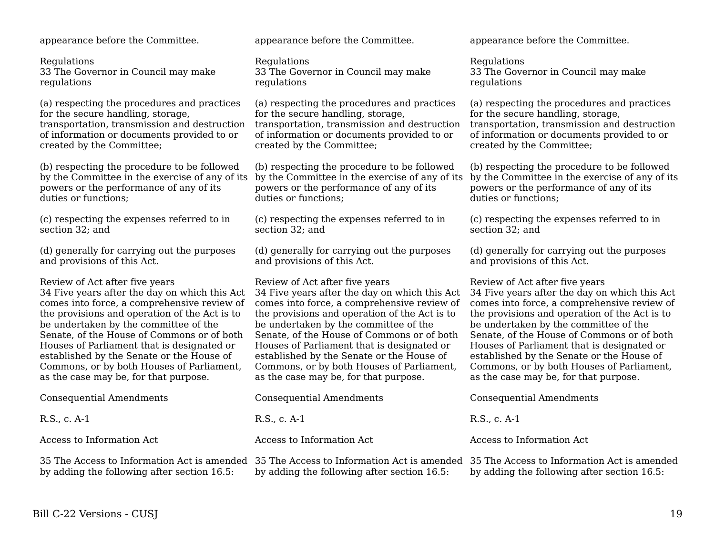appearance before the Committee.

**Regulations** 33 The Governor in Council may make regulations

(a) respecting the procedures and practices for the secure handling, storage, transportation, transmission and destruction of information or documents provided to or created by the Committee;

(b) respecting the procedure to be followed by the Committee in the exercise of any of its powers or the performance of any of its duties or functions;

(c) respecting the expenses referred to in section 32; and

(d) generally for carrying out the purposes and provisions of this Act.

Review of Act after five years 34 Five years after the day on which this Act comes into force, a comprehensive review of the provisions and operation of the Act is to be undertaken by the committee of the Senate, of the House of Commons or of both Houses of Parliament that is designated or established by the Senate or the House of Commons, or by both Houses of Parliament, as the case may be, for that purpose.

| <b>Consequential Amendments</b>             | <b>Consequential Amendments</b>                                                                                                                                                  | <b>Consequential Amendments</b>             |
|---------------------------------------------|----------------------------------------------------------------------------------------------------------------------------------------------------------------------------------|---------------------------------------------|
| R.S., c. A-1                                | R.S., c. A-1                                                                                                                                                                     | R.S., c. A-1                                |
| Access to Information Act                   | Access to Information Act                                                                                                                                                        | Access to Information Act                   |
| by adding the following after section 16.5. | 35 The Access to Information Act is amended 35 The Access to Information Act is amended 35 The Access to Information Act is ameno<br>by adding the following after section 16.5. | by adding the following after section 16.5. |

appearance before the Committee.

**Regulations** 33 The Governor in Council may make regulations

(a) respecting the procedures and practices for the secure handling, storage, transportation, transmission and destruction of information or documents provided to or created by the Committee;

(b) respecting the procedure to be followed by the Committee in the exercise of any of its by the Committee in the exercise of any of its powers or the performance of any of its duties or functions;

(c) respecting the expenses referred to in section 32; and

(d) generally for carrying out the purposes and provisions of this Act.

Review of Act after five years 34 Five years after the day on which this Act comes into force, a comprehensive review of the provisions and operation of the Act is to be undertaken by the committee of the Senate, of the House of Commons or of both Houses of Parliament that is designated or established by the Senate or the House of Commons, or by both Houses of Parliament, as the case may be, for that purpose.

appearance before the Committee.

Regulations 33 The Governor in Council may make regulations

(a) respecting the procedures and practices for the secure handling, storage, transportation, transmission and destruction of information or documents provided to or created by the Committee;

(b) respecting the procedure to be followed powers or the performance of any of its duties or functions;

(c) respecting the expenses referred to in section 32; and

(d) generally for carrying out the purposes and provisions of this Act.

Review of Act after five years 34 Five years after the day on which this Act comes into force, a comprehensive review of the provisions and operation of the Act is to be undertaken by the committee of the Senate, of the House of Commons or of both Houses of Parliament that is designated or established by the Senate or the House of Commons, or by both Houses of Parliament, as the case may be, for that purpose.

ormation Act is amended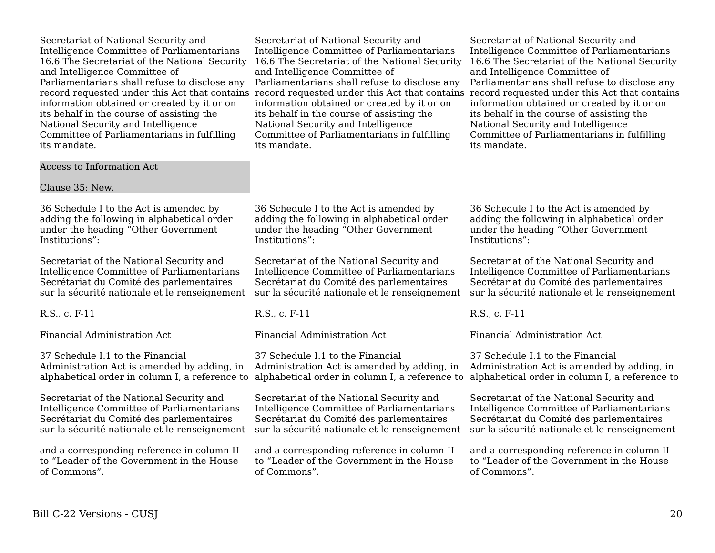Secretariat of National Security and Intelligence Committee of Parliamentarians 16.6 The Secretariat of the National Security and Intelligence Committee of Parliamentarians shall refuse to disclose any record requested under this Act that contains information obtained or created by it or on its behalf in the course of assisting the National Security and Intelligence Committee of Parliamentarians in fulfilling its mandate.

Intelligence Committee of Parliamentarians 16.6 The Secretariat of the National Security and Intelligence Committee of Parliamentarians shall refuse to disclose any record requested under this Act that contains record requested under this Act that contains information obtained or created by it or on its behalf in the course of assisting the National Security and Intelligence Committee of Parliamentarians in fulfilling its mandate.

Secretariat of National Security and

Secretariat of National Security and Intelligence Committee of Parliamentarians 16.6 The Secretariat of the National Security and Intelligence Committee of Parliamentarians shall refuse to disclose any information obtained or created by it or on its behalf in the course of assisting the National Security and Intelligence Committee of Parliamentarians in fulfilling its mandate.

Access to Information Act

Clause 35: New.

36 Schedule I to the Act is amended by adding the following in alphabetical order under the heading "Other Government Institutions":

Secretariat of the National Security and Intelligence Committee of Parliamentarians Secrétariat du Comité des parlementaires sur la sécurité nationale et le renseignement

R.S., c. F-11

Financial Administration Act

37 Schedule I.1 to the Financial Administration Act is amended by adding, in alphabetical order in column I, a reference to

Secretariat of the National Security and Intelligence Committee of Parliamentarians Secrétariat du Comité des parlementaires sur la sécurité nationale et le renseignement

and a corresponding reference in column II to "Leader of the Government in the House of Commons".

36 Schedule I to the Act is amended by adding the following in alphabetical order under the heading "Other Government Institutions":

Secretariat of the National Security and Intelligence Committee of Parliamentarians Secrétariat du Comité des parlementaires sur la sécurité nationale et le renseignement

R.S., c. F-11

Financial Administration Act

37 Schedule I.1 to the Financial Administration Act is amended by adding, in

Secretariat of the National Security and Intelligence Committee of Parliamentarians Secrétariat du Comité des parlementaires sur la sécurité nationale et le renseignement

and a corresponding reference in column II to "Leader of the Government in the House of Commons".

36 Schedule I to the Act is amended by adding the following in alphabetical order under the heading "Other Government Institutions":

Secretariat of the National Security and Intelligence Committee of Parliamentarians Secrétariat du Comité des parlementaires sur la sécurité nationale et le renseignement

R.S., c. F-11

Financial Administration Act

alphabetical order in column I, a reference to alphabetical order in column I, a reference to 37 Schedule I.1 to the Financial Administration Act is amended by adding, in

> Secretariat of the National Security and Intelligence Committee of Parliamentarians Secrétariat du Comité des parlementaires sur la sécurité nationale et le renseignement

and a corresponding reference in column II to "Leader of the Government in the House of Commons".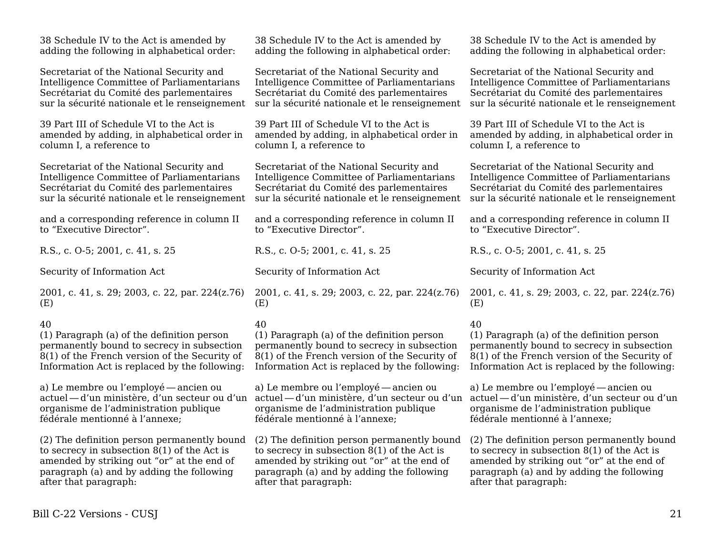| 38 Schedule IV to the Act is amended by         | 38 Schedule IV to the Act is amended by         | 38 Schedule IV to the Act is amended by         |
|-------------------------------------------------|-------------------------------------------------|-------------------------------------------------|
| adding the following in alphabetical order:     | adding the following in alphabetical order:     | adding the following in alphabetical order:     |
| Secretariat of the National Security and        | Secretariat of the National Security and        | Secretariat of the National Security and        |
| Intelligence Committee of Parliamentarians      | Intelligence Committee of Parliamentarians      | Intelligence Committee of Parliamentarians      |
| Secrétariat du Comité des parlementaires        | Secrétariat du Comité des parlementaires        | Secrétariat du Comité des parlementaires        |
| sur la sécurité nationale et le renseignement   | sur la sécurité nationale et le renseignement   | sur la sécurité nationale et le renseignement   |
| 39 Part III of Schedule VI to the Act is        | 39 Part III of Schedule VI to the Act is        | 39 Part III of Schedule VI to the Act is        |
| amended by adding, in alphabetical order in     | amended by adding, in alphabetical order in     | amended by adding, in alphabetical order in     |
| column I, a reference to                        | column I, a reference to                        | column I, a reference to                        |
| Secretariat of the National Security and        | Secretariat of the National Security and        | Secretariat of the National Security and        |
| Intelligence Committee of Parliamentarians      | Intelligence Committee of Parliamentarians      | Intelligence Committee of Parliamentarians      |
| Secrétariat du Comité des parlementaires        | Secrétariat du Comité des parlementaires        | Secrétariat du Comité des parlementaires        |
| sur la sécurité nationale et le renseignement   | sur la sécurité nationale et le renseignement   | sur la sécurité nationale et le renseignement   |
| and a corresponding reference in column II      | and a corresponding reference in column II      | and a corresponding reference in column II      |
| to "Executive Director".                        | to "Executive Director".                        | to "Executive Director".                        |
| R.S., c. O-5; 2001, c. 41, s. 25                | R.S., c. O-5; 2001, c. 41, s. 25                | R.S., c. O-5; 2001, c. 41, s. 25                |
|                                                 |                                                 |                                                 |
| Security of Information Act                     | Security of Information Act                     | Security of Information Act                     |
| 2001, c. 41, s. 29; 2003, c. 22, par. 224(z.76) | 2001, c. 41, s. 29; 2003, c. 22, par. 224(z.76) | 2001, c. 41, s. 29; 2003, c. 22, par. 224(z.76) |
| (E)                                             | (E)                                             | (E)                                             |
| 40                                              | 40                                              | 40                                              |
| (1) Paragraph (a) of the definition person      | (1) Paragraph (a) of the definition person      | (1) Paragraph (a) of the definition person      |
| permanently bound to secrecy in subsection      | permanently bound to secrecy in subsection      | permanently bound to secrecy in subsection      |
| 8(1) of the French version of the Security of   | $8(1)$ of the French version of the Security of | $8(1)$ of the French version of the Security of |
| Information Act is replaced by the following:   | Information Act is replaced by the following:   | Information Act is replaced by the following:   |
| a) Le membre ou l'employé — ancien ou           | a) Le membre ou l'employé — ancien ou           | a) Le membre ou l'employé — ancien ou           |
| actuel — d'un ministère, d'un secteur ou d'un   | actuel — d'un ministère, d'un secteur ou d'un   | actuel - d'un ministère, d'un secteur ou d'un   |
| organisme de l'administration publique          | organisme de l'administration publique          | organisme de l'administration publique          |
| fédérale mentionné à l'annexe;                  | fédérale mentionné à l'annexe;                  | fédérale mentionné à l'annexe;                  |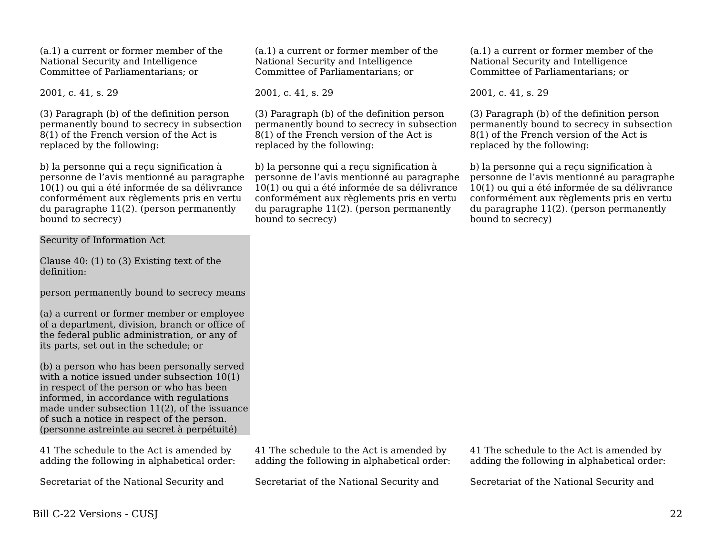(a.1) a current or former member of the National Security and Intelligence Committee of Parliamentarians; or

2001, c. 41, s. 29

(3) Paragraph (b) of the definition person permanently bound to secrecy in subsection 8(1) of the French version of the Act is replaced by the following:

b) la personne qui a reçu signification à personne de l'avis mentionné au paragraphe 10(1) ou qui a été informée de sa délivrance conformément aux règlements pris en vertu du paragraphe 11(2). (person permanently bound to secrecy)

Security of Information Act

Clause 40: (1) to (3) Existing text of the definition:

person permanently bound to secrecy means

(a) a current or former member or employee of a department, division, branch or office of the federal public administration, or any of its parts, set out in the schedule; or

(b) a person who has been personally served with a notice issued under subsection 10(1) in respect of the person or who has been informed, in accordance with regulations made under subsection 11(2), of the issuance of such a notice in respect of the person. (personne astreinte au secret à perpétuité)

41 The schedule to the Act is amended by adding the following in alphabetical order:

Secretariat of the National Security and

(a.1) a current or former member of the National Security and Intelligence Committee of Parliamentarians; or

2001, c. 41, s. 29

(3) Paragraph (b) of the definition person permanently bound to secrecy in subsection 8(1) of the French version of the Act is replaced by the following:

b) la personne qui a reçu signification à personne de l'avis mentionné au paragraphe 10(1) ou qui a été informée de sa délivrance conformément aux règlements pris en vertu du paragraphe 11(2). (person permanently bound to secrecy)

(a.1) a current or former member of the National Security and Intelligence Committee of Parliamentarians; or

2001, c. 41, s. 29

(3) Paragraph (b) of the definition person permanently bound to secrecy in subsection 8(1) of the French version of the Act is replaced by the following:

b) la personne qui a reçu signification à personne de l'avis mentionné au paragraphe 10(1) ou qui a été informée de sa délivrance conformément aux règlements pris en vertu du paragraphe 11(2). (person permanently bound to secrecy)

41 The schedule to the Act is amended by adding the following in alphabetical order:

Secretariat of the National Security and

41 The schedule to the Act is amended by adding the following in alphabetical order:

Secretariat of the National Security and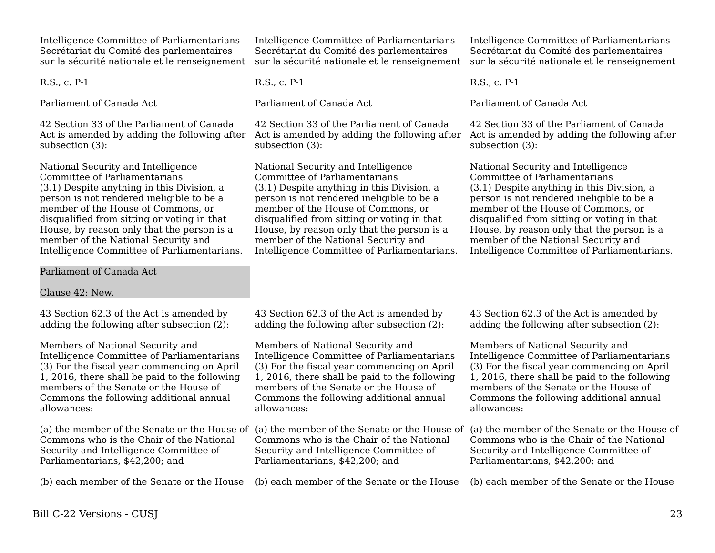Intelligence Committee of Parliamentarians Secrétariat du Comité des parlementaires sur la sécurité nationale et le renseignement

R.S., c. P-1

Parliament of Canada Act

42 Section 33 of the Parliament of Canada Act is amended by adding the following after subsection (3):

National Security and Intelligence Committee of Parliamentarians (3.1) Despite anything in this Division, a person is not rendered ineligible to be a member of the House of Commons, or disqualified from sitting or voting in that House, by reason only that the person is a member of the National Security and Intelligence Committee of Parliamentarians.

Parliament of Canada Act

Clause 42: New.

43 Section 62.3 of the Act is amended by adding the following after subsection (2):

Members of National Security and Intelligence Committee of Parliamentarians (3) For the fiscal year commencing on April 1, 2016, there shall be paid to the following members of the Senate or the House of Commons the following additional annual allowances:

(a) the member of the Senate or the House of Commons who is the Chair of the National Security and Intelligence Committee of Parliamentarians, \$42,200; and

(b) each member of the Senate or the House

Intelligence Committee of Parliamentarians Secrétariat du Comité des parlementaires sur la sécurité nationale et le renseignement

R.S., c. P-1

Parliament of Canada Act

42 Section 33 of the Parliament of Canada subsection (3):

National Security and Intelligence Committee of Parliamentarians (3.1) Despite anything in this Division, a person is not rendered ineligible to be a member of the House of Commons, or disqualified from sitting or voting in that House, by reason only that the person is a member of the National Security and Intelligence Committee of Parliamentarians.

Intelligence Committee of Parliamentarians Secrétariat du Comité des parlementaires sur la sécurité nationale et le renseignement

R.S., c. P-1

Parliament of Canada Act

Act is amended by adding the following after Act is amended by adding the following after 42 Section 33 of the Parliament of Canada subsection (3):

> National Security and Intelligence Committee of Parliamentarians (3.1) Despite anything in this Division, a person is not rendered ineligible to be a member of the House of Commons, or disqualified from sitting or voting in that House, by reason only that the person is a member of the National Security and Intelligence Committee of Parliamentarians.

43 Section 62.3 of the Act is amended by adding the following after subsection (2):

Members of National Security and Intelligence Committee of Parliamentarians (3) For the fiscal year commencing on April 1, 2016, there shall be paid to the following members of the Senate or the House of Commons the following additional annual allowances:

Commons who is the Chair of the National Security and Intelligence Committee of Parliamentarians, \$42,200; and

(b) each member of the Senate or the House

43 Section 62.3 of the Act is amended by adding the following after subsection (2):

Members of National Security and Intelligence Committee of Parliamentarians (3) For the fiscal year commencing on April 1, 2016, there shall be paid to the following members of the Senate or the House of Commons the following additional annual allowances:

(a) the member of the Senate or the House of (a) the member of the Senate or the House of Commons who is the Chair of the National Security and Intelligence Committee of Parliamentarians, \$42,200; and

(b) each member of the Senate or the House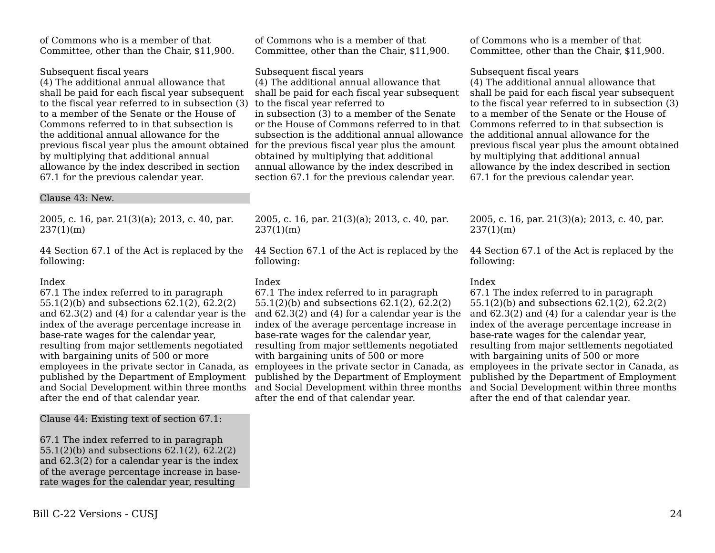of Commons who is a member of that Committee, other than the Chair, \$11,900.

## Subsequent fiscal years

(4) The additional annual allowance that shall be paid for each fiscal year subsequent to the fiscal year referred to in subsection (3) to a member of the Senate or the House of Commons referred to in that subsection is the additional annual allowance for the previous fiscal year plus the amount obtained for the previous fiscal year plus the amount by multiplying that additional annual allowance by the index described in section 67.1 for the previous calendar year.

#### Clause 43: New.

2005, c. 16, par. 21(3)(a); 2013, c. 40, par. 237(1)(m)

44 Section 67.1 of the Act is replaced by the following:

#### Index

67.1 The index referred to in paragraph 55.1(2)(b) and subsections 62.1(2), 62.2(2) and 62.3(2) and (4) for a calendar year is the index of the average percentage increase in base-rate wages for the calendar year, resulting from major settlements negotiated with bargaining units of 500 or more employees in the private sector in Canada, as published by the Department of Employment and Social Development within three months after the end of that calendar year.

Clause 44: Existing text of section 67.1:

67.1 The index referred to in paragraph 55.1(2)(b) and subsections 62.1(2), 62.2(2) and 62.3(2) for a calendar year is the index of the average percentage increase in baserate wages for the calendar year, resulting

of Commons who is a member of that Committee, other than the Chair, \$11,900.

Subsequent fiscal years

(4) The additional annual allowance that shall be paid for each fiscal year subsequent to the fiscal year referred to in subsection (3) to a member of the Senate or the House of Commons referred to in that subsection is the additional annual allowance obtained by multiplying that additional annual allowance by the index described in section 67.1 for the previous calendar year.

2005, c. 16, par. 21(3)(a); 2013, c. 40, par. 237(1)(m)

44 Section 67.1 of the Act is replaced by the following:

## Index

67.1 The index referred to in paragraph 55.1(2)(b) and subsections 62.1(2), 62.2(2) and 62.3(2) and (4) for a calendar year is the index of the average percentage increase in base-rate wages for the calendar year, resulting from major settlements negotiated with bargaining units of 500 or more employees in the private sector in Canada, as employees in the private sector in Canada, as published by the Department of Employment and Social Development within three months after the end of that calendar year.

of Commons who is a member of that Committee, other than the Chair, \$11,900.

## Subsequent fiscal years

(4) The additional annual allowance that shall be paid for each fiscal year subsequent to the fiscal year referred to in subsection (3) to a member of the Senate or the House of Commons referred to in that subsection is the additional annual allowance for the previous fiscal year plus the amount obtained by multiplying that additional annual allowance by the index described in section 67.1 for the previous calendar year.

2005, c. 16, par. 21(3)(a); 2013, c. 40, par. 237(1)(m)

44 Section 67.1 of the Act is replaced by the following:

## Index

67.1 The index referred to in paragraph 55.1(2)(b) and subsections 62.1(2), 62.2(2) and 62.3(2) and (4) for a calendar year is the index of the average percentage increase in base-rate wages for the calendar year, resulting from major settlements negotiated with bargaining units of 500 or more published by the Department of Employment and Social Development within three months after the end of that calendar year.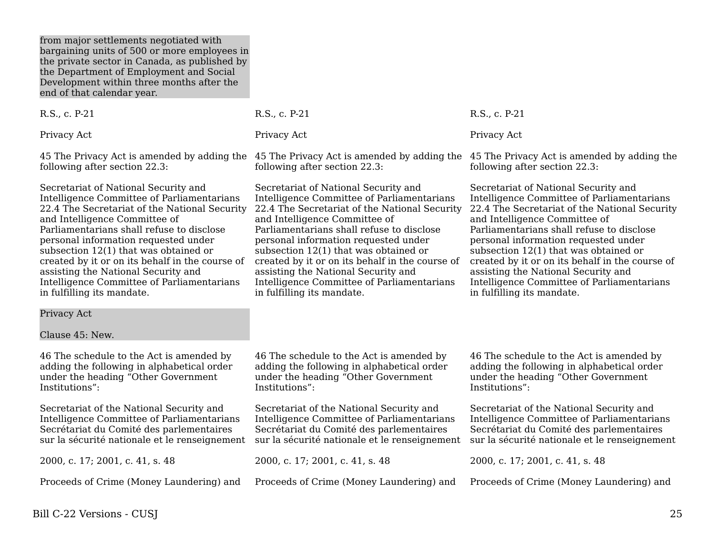from major settlements negotiated with bargaining units of 500 or more employees in the private sector in Canada, as published by the Department of Employment and Social Development within three months after the end of that calendar year.

R.S., c. P-21

Privacy Act

45 The Privacy Act is amended by adding the 45 The Privacy Act is amended by adding the 45 The Privacy Act is amended by adding the following after section 22.3:

Secretariat of National Security and Intelligence Committee of Parliamentarians 22.4 The Secretariat of the National Security and Intelligence Committee of Parliamentarians shall refuse to disclose personal information requested under subsection 12(1) that was obtained or created by it or on its behalf in the course of assisting the National Security and Intelligence Committee of Parliamentarians in fulfilling its mandate.

R.S., c. P-21

Privacy Act

following after section 22.3:

Secretariat of National Security and Intelligence Committee of Parliamentarians 22.4 The Secretariat of the National Security and Intelligence Committee of Parliamentarians shall refuse to disclose personal information requested under subsection 12(1) that was obtained or created by it or on its behalf in the course of assisting the National Security and Intelligence Committee of Parliamentarians in fulfilling its mandate.

R.S., c. P-21 Privacy Act

following after section 22.3:

Secretariat of National Security and Intelligence Committee of Parliamentarians 22.4 The Secretariat of the National Security and Intelligence Committee of Parliamentarians shall refuse to disclose personal information requested under subsection 12(1) that was obtained or created by it or on its behalf in the course of assisting the National Security and Intelligence Committee of Parliamentarians in fulfilling its mandate.

Privacy Act

Clause 45: New.

46 The schedule to the Act is amended by adding the following in alphabetical order under the heading "Other Government Institutions":

Secretariat of the National Security and Intelligence Committee of Parliamentarians Secrétariat du Comité des parlementaires sur la sécurité nationale et le renseignement

2000, c. 17; 2001, c. 41, s. 48

Proceeds of Crime (Money Laundering) and

46 The schedule to the Act is amended by adding the following in alphabetical order under the heading "Other Government Institutions":

Secretariat of the National Security and Intelligence Committee of Parliamentarians Secrétariat du Comité des parlementaires sur la sécurité nationale et le renseignement

2000, c. 17; 2001, c. 41, s. 48

Proceeds of Crime (Money Laundering) and

46 The schedule to the Act is amended by adding the following in alphabetical order under the heading "Other Government Institutions":

Secretariat of the National Security and Intelligence Committee of Parliamentarians Secrétariat du Comité des parlementaires sur la sécurité nationale et le renseignement

2000, c. 17; 2001, c. 41, s. 48

Proceeds of Crime (Money Laundering) and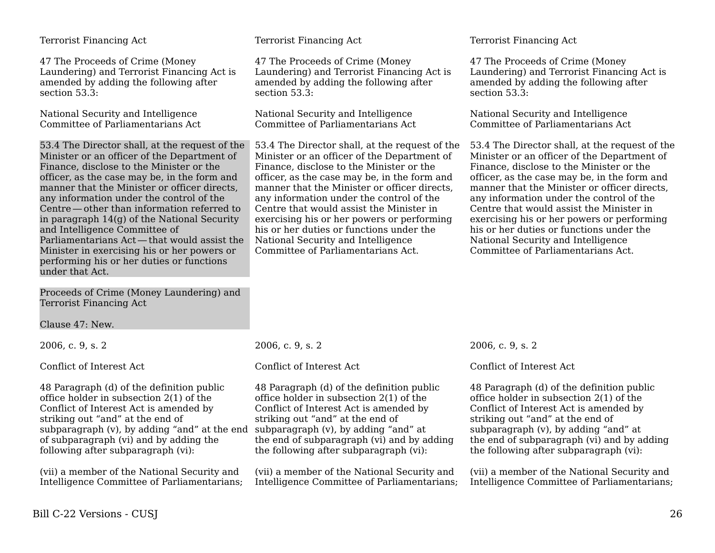#### Terrorist Financing Act

47 The Proceeds of Crime (Money Laundering) and Terrorist Financing Act is amended by adding the following after section 53.3:

National Security and Intelligence Committee of Parliamentarians Act

53.4 The Director shall, at the request of the Minister or an officer of the Department of Finance, disclose to the Minister or the officer, as the case may be, in the form and manner that the Minister or officer directs, any information under the control of the Centre — other than information referred to     in paragraph 14(g) of the National Security and Intelligence Committee of Parliamentarians Act — that would assist the     Minister in exercising his or her powers or performing his or her duties or functions under that Act.

Proceeds of Crime (Money Laundering) and Terrorist Financing Act

Clause 47: New.

2006, c. 9, s. 2

Conflict of Interest Act

48 Paragraph (d) of the definition public office holder in subsection 2(1) of the Conflict of Interest Act is amended by striking out "and" at the end of subparagraph (v), by adding "and" at the end of subparagraph (vi) and by adding the following after subparagraph (vi):

(vii) a member of the National Security and Intelligence Committee of Parliamentarians; Terrorist Financing Act

47 The Proceeds of Crime (Money Laundering) and Terrorist Financing Act is amended by adding the following after section 53.3:

National Security and Intelligence Committee of Parliamentarians Act

53.4 The Director shall, at the request of the Minister or an officer of the Department of Finance, disclose to the Minister or the officer, as the case may be, in the form and manner that the Minister or officer directs, any information under the control of the Centre that would assist the Minister in exercising his or her powers or performing his or her duties or functions under the National Security and Intelligence Committee of Parliamentarians Act.

#### Terrorist Financing Act

47 The Proceeds of Crime (Money Laundering) and Terrorist Financing Act is amended by adding the following after section 53.3:

National Security and Intelligence Committee of Parliamentarians Act

53.4 The Director shall, at the request of the Minister or an officer of the Department of Finance, disclose to the Minister or the officer, as the case may be, in the form and manner that the Minister or officer directs, any information under the control of the Centre that would assist the Minister in exercising his or her powers or performing his or her duties or functions under the National Security and Intelligence Committee of Parliamentarians Act.

2006, c. 9, s. 2

#### Conflict of Interest Act

48 Paragraph (d) of the definition public office holder in subsection 2(1) of the Conflict of Interest Act is amended by striking out "and" at the end of subparagraph (v), by adding "and" at the end of subparagraph (vi) and by adding the following after subparagraph (vi):

(vii) a member of the National Security and Intelligence Committee of Parliamentarians; 2006, c. 9, s. 2

#### Conflict of Interest Act

48 Paragraph (d) of the definition public office holder in subsection 2(1) of the Conflict of Interest Act is amended by striking out "and" at the end of subparagraph (v), by adding "and" at the end of subparagraph (vi) and by adding the following after subparagraph (vi):

(vii) a member of the National Security and Intelligence Committee of Parliamentarians;